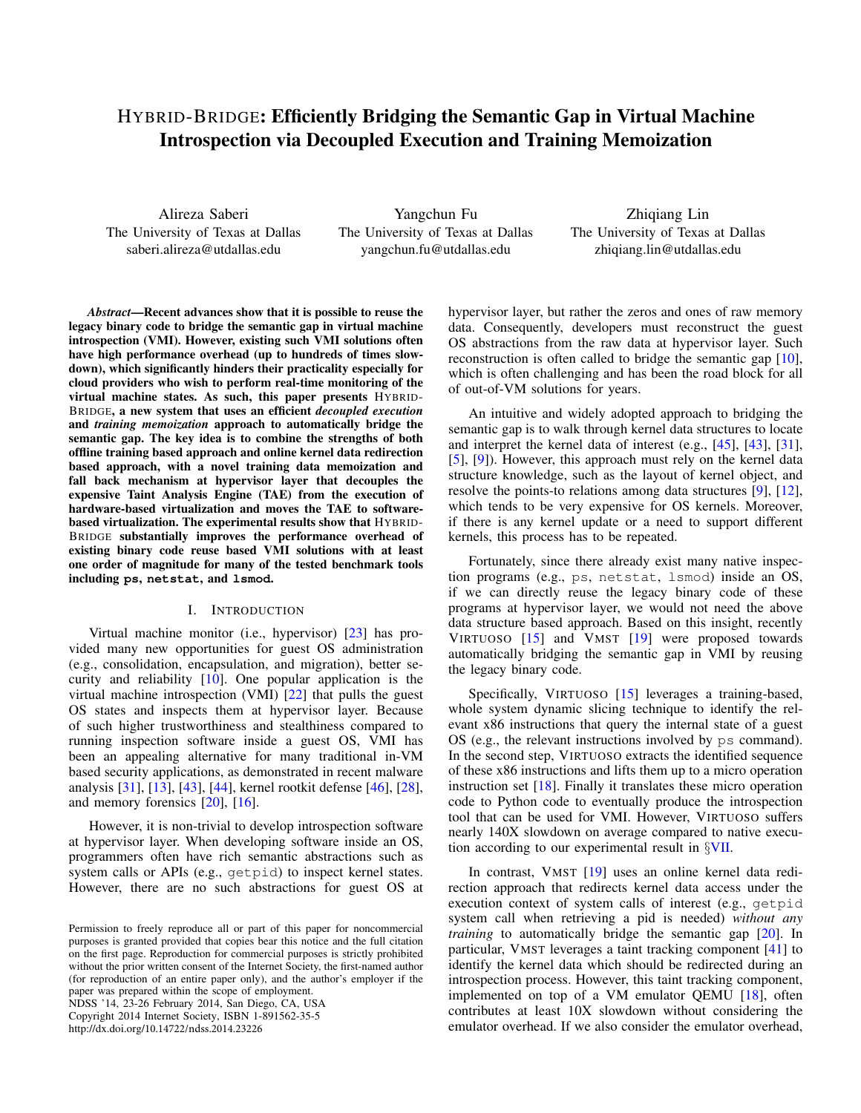# HYBRID-BRIDGE: Efficiently Bridging the Semantic Gap in Virtual Machine Introspection via Decoupled Execution and Training Memoization

Alireza Saberi The University of Texas at Dallas saberi.alireza@utdallas.edu

Yangchun Fu The University of Texas at Dallas yangchun.fu@utdallas.edu

Zhiqiang Lin The University of Texas at Dallas zhiqiang.lin@utdallas.edu

*Abstract*—Recent advances show that it is possible to reuse the legacy binary code to bridge the semantic gap in virtual machine introspection (VMI). However, existing such VMI solutions often have high performance overhead (up to hundreds of times slowdown), which significantly hinders their practicality especially for cloud providers who wish to perform real-time monitoring of the virtual machine states. As such, this paper presents HYBRID-BRIDGE, a new system that uses an efficient *decoupled execution* and *training memoization* approach to automatically bridge the semantic gap. The key idea is to combine the strengths of both offline training based approach and online kernel data redirection based approach, with a novel training data memoization and fall back mechanism at hypervisor layer that decouples the expensive Taint Analysis Engine (TAE) from the execution of hardware-based virtualization and moves the TAE to softwarebased virtualization. The experimental results show that HYBRID-BRIDGE substantially improves the performance overhead of existing binary code reuse based VMI solutions with at least one order of magnitude for many of the tested benchmark tools including **ps**, **netstat**, and **lsmod**.

### I. INTRODUCTION

Virtual machine monitor (i.e., hypervisor) [\[23\]](#page-14-0) has provided many new opportunities for guest OS administration (e.g., consolidation, encapsulation, and migration), better security and reliability [\[10\]](#page-13-0). One popular application is the virtual machine introspection (VMI) [\[22\]](#page-14-1) that pulls the guest OS states and inspects them at hypervisor layer. Because of such higher trustworthiness and stealthiness compared to running inspection software inside a guest OS, VMI has been an appealing alternative for many traditional in-VM based security applications, as demonstrated in recent malware analysis [\[31\]](#page-14-2), [\[13\]](#page-13-1), [\[43\]](#page-14-3), [\[44\]](#page-14-4), kernel rootkit defense [\[46\]](#page-14-5), [\[28\]](#page-14-6), and memory forensics [\[20\]](#page-14-7), [\[16\]](#page-13-2).

However, it is non-trivial to develop introspection software at hypervisor layer. When developing software inside an OS, programmers often have rich semantic abstractions such as system calls or APIs (e.g., getpid) to inspect kernel states. However, there are no such abstractions for guest OS at

NDSS '14, 23-26 February 2014, San Diego, CA, USA Copyright 2014 Internet Society, ISBN 1-891562-35-5 http://dx.doi.org/10.14722/ndss.2014.23226

hypervisor layer, but rather the zeros and ones of raw memory data. Consequently, developers must reconstruct the guest OS abstractions from the raw data at hypervisor layer. Such reconstruction is often called to bridge the semantic gap [\[10\]](#page-13-0), which is often challenging and has been the road block for all of out-of-VM solutions for years.

An intuitive and widely adopted approach to bridging the semantic gap is to walk through kernel data structures to locate and interpret the kernel data of interest (e.g., [\[45\]](#page-14-8), [\[43\]](#page-14-3), [\[31\]](#page-14-2), [\[5\]](#page-13-3), [\[9\]](#page-13-4)). However, this approach must rely on the kernel data structure knowledge, such as the layout of kernel object, and resolve the points-to relations among data structures [\[9\]](#page-13-4), [\[12\]](#page-13-5), which tends to be very expensive for OS kernels. Moreover, if there is any kernel update or a need to support different kernels, this process has to be repeated.

Fortunately, since there already exist many native inspection programs (e.g., ps, netstat, lsmod) inside an OS, if we can directly reuse the legacy binary code of these programs at hypervisor layer, we would not need the above data structure based approach. Based on this insight, recently VIRTUOSO [\[15\]](#page-13-6) and VMST [\[19\]](#page-13-7) were proposed towards automatically bridging the semantic gap in VMI by reusing the legacy binary code.

Specifically, VIRTUOSO [\[15\]](#page-13-6) leverages a training-based, whole system dynamic slicing technique to identify the relevant x86 instructions that query the internal state of a guest OS (e.g., the relevant instructions involved by ps command). In the second step, VIRTUOSO extracts the identified sequence of these x86 instructions and lifts them up to a micro operation instruction set [\[18\]](#page-13-8). Finally it translates these micro operation code to Python code to eventually produce the introspection tool that can be used for VMI. However, VIRTUOSO suffers nearly 140X slowdown on average compared to native execution according to our experimental result in *§*[VII.](#page-9-0)

In contrast, VMST [\[19\]](#page-13-7) uses an online kernel data redirection approach that redirects kernel data access under the execution context of system calls of interest (e.g., getpid system call when retrieving a pid is needed) *without any training* to automatically bridge the semantic gap [\[20\]](#page-14-7). In particular, VMST leverages a taint tracking component [\[41\]](#page-14-9) to identify the kernel data which should be redirected during an introspection process. However, this taint tracking component, implemented on top of a VM emulator QEMU [\[18\]](#page-13-8), often contributes at least 10X slowdown without considering the emulator overhead. If we also consider the emulator overhead,

Permission to freely reproduce all or part of this paper for noncommercial purposes is granted provided that copies bear this notice and the full citation on the first page. Reproduction for commercial purposes is strictly prohibited without the prior written consent of the Internet Society, the first-named author (for reproduction of an entire paper only), and the author's employer if the paper was prepared within the scope of employment.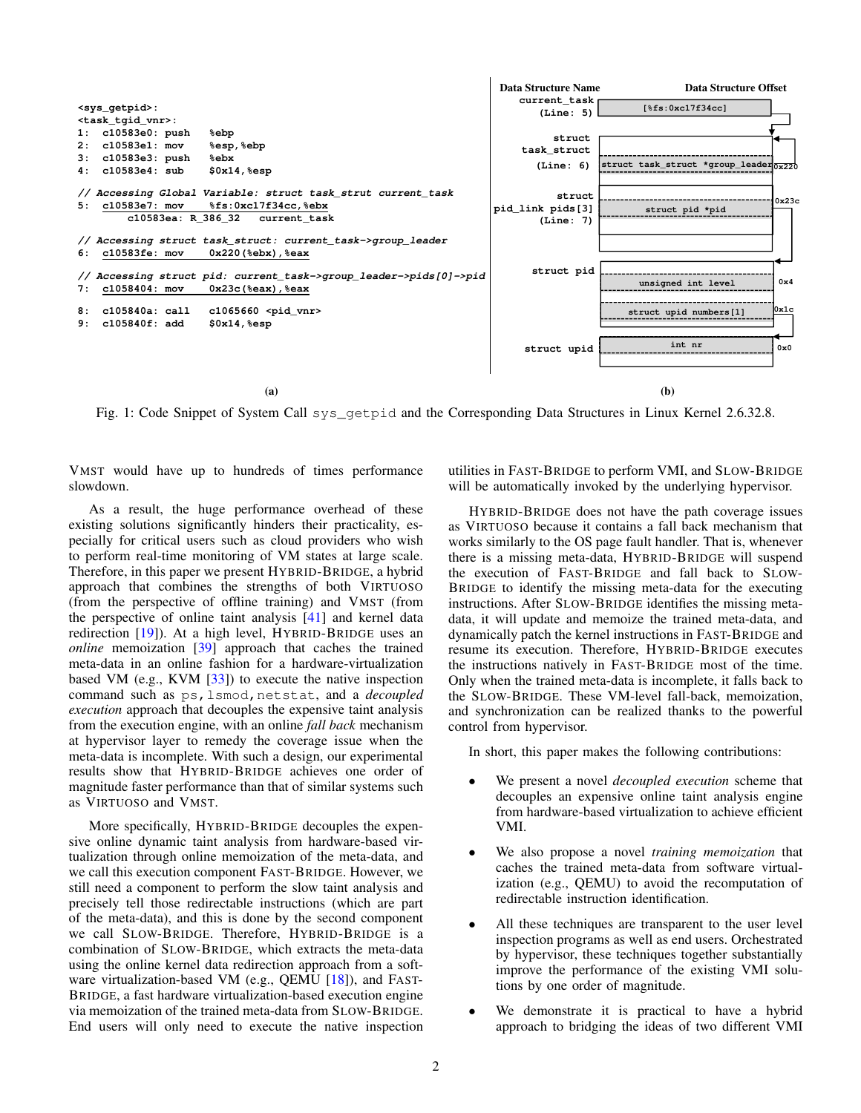<span id="page-1-0"></span>

Fig. 1: Code Snippet of System Call sys\_getpid and the Corresponding Data Structures in Linux Kernel 2.6.32.8.

VMST would have up to hundreds of times performance slowdown.

As a result, the huge performance overhead of these existing solutions significantly hinders their practicality, especially for critical users such as cloud providers who wish to perform real-time monitoring of VM states at large scale. Therefore, in this paper we present HYBRID-BRIDGE, a hybrid approach that combines the strengths of both VIRTUOSO (from the perspective of offline training) and VMST (from the perspective of online taint analysis [\[41\]](#page-14-9) and kernel data redirection [\[19\]](#page-13-7)). At a high level, HYBRID-BRIDGE uses an *online* memoization [\[39\]](#page-14-10) approach that caches the trained meta-data in an online fashion for a hardware-virtualization based VM (e.g., KVM [\[33\]](#page-14-11)) to execute the native inspection command such as ps,lsmod,netstat, and a *decoupled execution* approach that decouples the expensive taint analysis from the execution engine, with an online *fall back* mechanism at hypervisor layer to remedy the coverage issue when the meta-data is incomplete. With such a design, our experimental results show that HYBRID-BRIDGE achieves one order of magnitude faster performance than that of similar systems such as VIRTUOSO and VMST.

More specifically, HYBRID-BRIDGE decouples the expensive online dynamic taint analysis from hardware-based virtualization through online memoization of the meta-data, and we call this execution component FAST-BRIDGE. However, we still need a component to perform the slow taint analysis and precisely tell those redirectable instructions (which are part of the meta-data), and this is done by the second component we call SLOW-BRIDGE. Therefore, HYBRID-BRIDGE is a combination of SLOW-BRIDGE, which extracts the meta-data using the online kernel data redirection approach from a software virtualization-based VM (e.g., QEMU [\[18\]](#page-13-8)), and FAST-BRIDGE, a fast hardware virtualization-based execution engine via memoization of the trained meta-data from SLOW-BRIDGE. End users will only need to execute the native inspection utilities in FAST-BRIDGE to perform VMI, and SLOW-BRIDGE will be automatically invoked by the underlying hypervisor.

HYBRID-BRIDGE does not have the path coverage issues as VIRTUOSO because it contains a fall back mechanism that works similarly to the OS page fault handler. That is, whenever there is a missing meta-data, HYBRID-BRIDGE will suspend the execution of FAST-BRIDGE and fall back to SLOW-BRIDGE to identify the missing meta-data for the executing instructions. After SLOW-BRIDGE identifies the missing metadata, it will update and memoize the trained meta-data, and dynamically patch the kernel instructions in FAST-BRIDGE and resume its execution. Therefore, HYBRID-BRIDGE executes the instructions natively in FAST-BRIDGE most of the time. Only when the trained meta-data is incomplete, it falls back to the SLOW-BRIDGE. These VM-level fall-back, memoization, and synchronization can be realized thanks to the powerful control from hypervisor.

In short, this paper makes the following contributions:

- *•* We present a novel *decoupled execution* scheme that decouples an expensive online taint analysis engine from hardware-based virtualization to achieve efficient VMI.
- *•* We also propose a novel *training memoization* that caches the trained meta-data from software virtualization (e.g., QEMU) to avoid the recomputation of redirectable instruction identification.
- *•* All these techniques are transparent to the user level inspection programs as well as end users. Orchestrated by hypervisor, these techniques together substantially improve the performance of the existing VMI solutions by one order of magnitude.
- We demonstrate it is practical to have a hybrid approach to bridging the ideas of two different VMI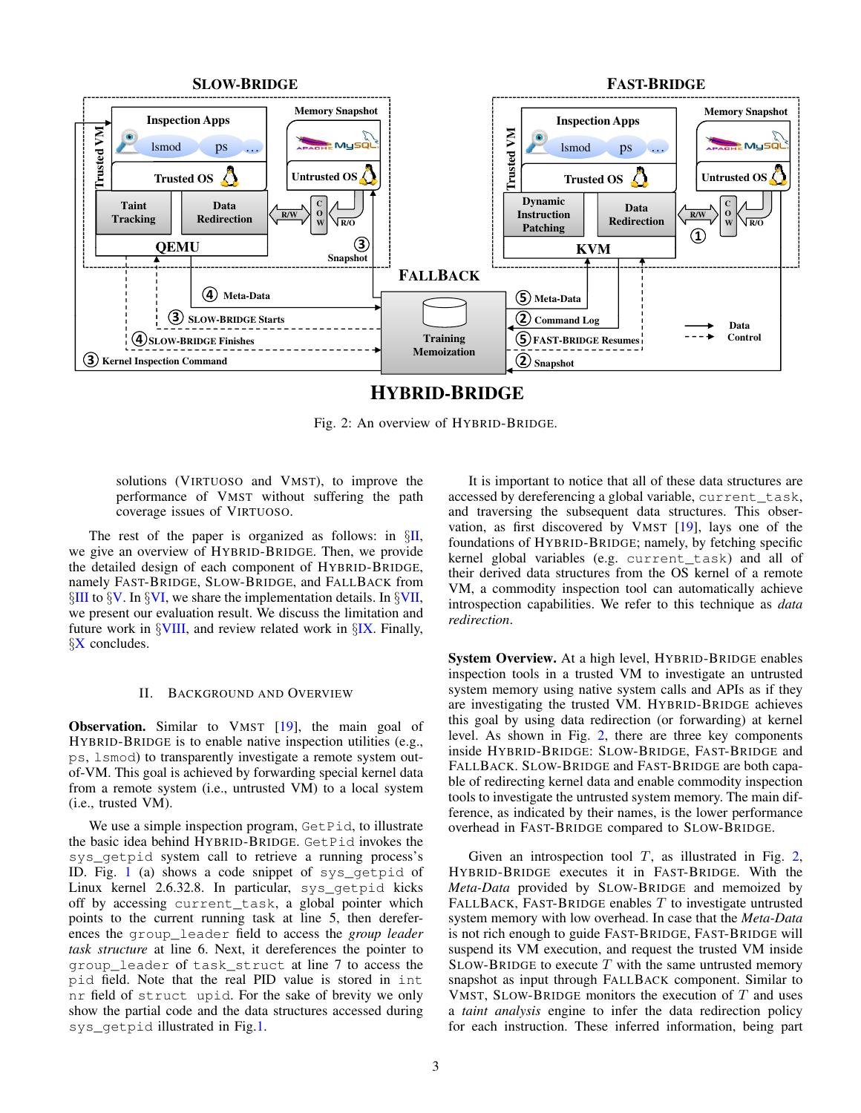<span id="page-2-1"></span>

## **HYBRID-BRIDGE**

Fig. 2: An overview of HYBRID-BRIDGE.

solutions (VIRTUOSO and VMST), to improve the performance of VMST without suffering the path coverage issues of VIRTUOSO.

The rest of the paper is organized as follows: in *§*[II,](#page-2-0) we give an overview of HYBRID-BRIDGE. Then, we provide the detailed design of each component of HYBRID-BRIDGE, namely FAST-BRIDGE, SLOW-BRIDGE, and FALLBACK from *§*[III](#page-3-0) to *§*[V.](#page-8-0) In *§*[VI,](#page-8-1) we share the implementation details. In *§*[VII,](#page-9-0) we present our evaluation result. We discuss the limitation and future work in *§*[VIII,](#page-11-0) and review related work in *§*[IX.](#page-12-0) Finally, *§*[X](#page-13-9) concludes.

#### II. BACKGROUND AND OVERVIEW

<span id="page-2-0"></span>Observation. Similar to VMST [\[19\]](#page-13-7), the main goal of HYBRID-BRIDGE is to enable native inspection utilities (e.g., ps, lsmod) to transparently investigate a remote system outof-VM. This goal is achieved by forwarding special kernel data from a remote system (i.e., untrusted VM) to a local system (i.e., trusted VM).

We use a simple inspection program, GetPid, to illustrate the basic idea behind HYBRID-BRIDGE. GetPid invokes the sys\_getpid system call to retrieve a running process's ID. Fig. [1](#page-1-0) (a) shows a code snippet of sys\_getpid of Linux kernel 2.6.32.8. In particular, sys\_getpid kicks off by accessing current\_task, a global pointer which points to the current running task at line 5, then dereferences the group\_leader field to access the *group leader task structure* at line 6. Next, it dereferences the pointer to group\_leader of task\_struct at line 7 to access the pid field. Note that the real PID value is stored in int nr field of struct upid. For the sake of brevity we only show the partial code and the data structures accessed during sys\_getpid illustrated in Fig[.1.](#page-1-0)

It is important to notice that all of these data structures are accessed by dereferencing a global variable, current\_task, and traversing the subsequent data structures. This observation, as first discovered by VMST [\[19\]](#page-13-7), lays one of the foundations of HYBRID-BRIDGE; namely, by fetching specific kernel global variables (e.g. current\_task) and all of their derived data structures from the OS kernel of a remote VM, a commodity inspection tool can automatically achieve introspection capabilities. We refer to this technique as *data redirection*.

System Overview. At a high level, HYBRID-BRIDGE enables inspection tools in a trusted VM to investigate an untrusted system memory using native system calls and APIs as if they are investigating the trusted VM. HYBRID-BRIDGE achieves this goal by using data redirection (or forwarding) at kernel level. As shown in Fig. [2,](#page-2-1) there are three key components inside HYBRID-BRIDGE: SLOW-BRIDGE, FAST-BRIDGE and FALLBACK. SLOW-BRIDGE and FAST-BRIDGE are both capable of redirecting kernel data and enable commodity inspection tools to investigate the untrusted system memory. The main difference, as indicated by their names, is the lower performance overhead in FAST-BRIDGE compared to SLOW-BRIDGE.

Given an introspection tool *T*, as illustrated in Fig. [2,](#page-2-1) HYBRID-BRIDGE executes it in FAST-BRIDGE. With the *Meta-Data* provided by SLOW-BRIDGE and memoized by FALLBACK, FAST-BRIDGE enables *T* to investigate untrusted system memory with low overhead. In case that the *Meta-Data* is not rich enough to guide FAST-BRIDGE, FAST-BRIDGE will suspend its VM execution, and request the trusted VM inside SLOW-BRIDGE to execute *T* with the same untrusted memory snapshot as input through FALLBACK component. Similar to VMST, SLOW-BRIDGE monitors the execution of *T* and uses a *taint analysis* engine to infer the data redirection policy for each instruction. These inferred information, being part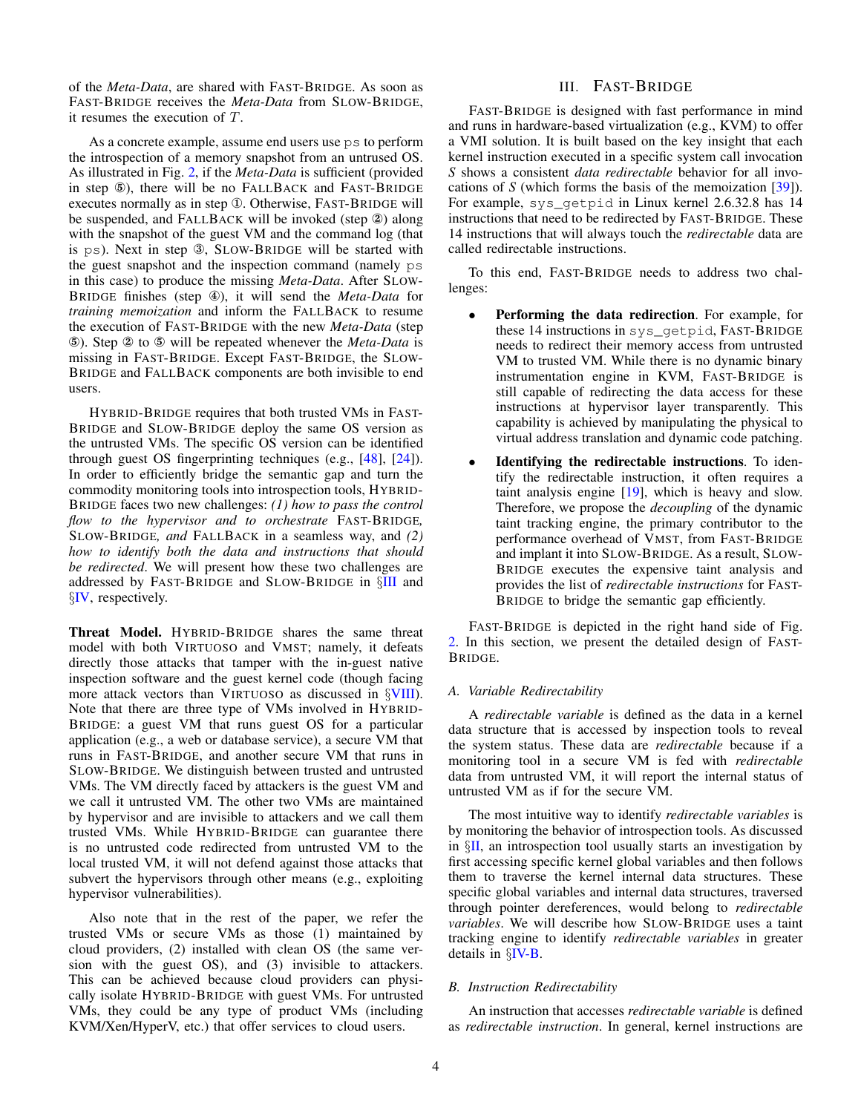of the *Meta-Data*, are shared with FAST-BRIDGE. As soon as FAST-BRIDGE receives the *Meta-Data* from SLOW-BRIDGE, it resumes the execution of *T*.

As a concrete example, assume end users use ps to perform the introspection of a memory snapshot from an untrused OS. As illustrated in Fig. [2,](#page-2-1) if the *Meta-Data* is sufficient (provided in step  $\circled{5}$ ), there will be no FALLBACK and FAST-BRIDGE executes normally as in step ①. Otherwise, FAST-BRIDGE will be suspended, and FALLBACK will be invoked (step  $\circled{2}$ ) along with the snapshot of the guest VM and the command log (that is  $ps$ ). Next in step  $\mathcal{B}$ , SLOW-BRIDGE will be started with the guest snapshot and the inspection command (namely ps in this case) to produce the missing *Meta-Data*. After SLOW-BRIDGE finishes (step Ø), it will send the *Meta-Data* for *training memoization* and inform the FALLBACK to resume the execution of FAST-BRIDGE with the new *Meta-Data* (step ∞). Step ≠ to ∞ will be repeated whenever the *Meta-Data* is missing in FAST-BRIDGE. Except FAST-BRIDGE, the SLOW-BRIDGE and FALLBACK components are both invisible to end users.

HYBRID-BRIDGE requires that both trusted VMs in FAST-BRIDGE and SLOW-BRIDGE deploy the same OS version as the untrusted VMs. The specific OS version can be identified through guest OS fingerprinting techniques (e.g., [\[48\]](#page-14-12), [\[24\]](#page-14-13)). In order to efficiently bridge the semantic gap and turn the commodity monitoring tools into introspection tools, HYBRID-BRIDGE faces two new challenges: *(1) how to pass the control flow to the hypervisor and to orchestrate* FAST-BRIDGE*,* SLOW-BRIDGE*, and* FALLBACK in a seamless way, and *(2) how to identify both the data and instructions that should be redirected*. We will present how these two challenges are addressed by FAST-BRIDGE and SLOW-BRIDGE in *§*[III](#page-3-0) and *§*[IV,](#page-7-0) respectively.

Threat Model. HYBRID-BRIDGE shares the same threat model with both VIRTUOSO and VMST; namely, it defeats directly those attacks that tamper with the in-guest native inspection software and the guest kernel code (though facing more attack vectors than VIRTUOSO as discussed in *§*[VIII\)](#page-11-0). Note that there are three type of VMs involved in HYBRID-BRIDGE: a guest VM that runs guest OS for a particular application (e.g., a web or database service), a secure VM that runs in FAST-BRIDGE, and another secure VM that runs in SLOW-BRIDGE. We distinguish between trusted and untrusted VMs. The VM directly faced by attackers is the guest VM and we call it untrusted VM. The other two VMs are maintained by hypervisor and are invisible to attackers and we call them trusted VMs. While HYBRID-BRIDGE can guarantee there is no untrusted code redirected from untrusted VM to the local trusted VM, it will not defend against those attacks that subvert the hypervisors through other means (e.g., exploiting hypervisor vulnerabilities).

Also note that in the rest of the paper, we refer the trusted VMs or secure VMs as those (1) maintained by cloud providers, (2) installed with clean OS (the same version with the guest OS), and (3) invisible to attackers. This can be achieved because cloud providers can physically isolate HYBRID-BRIDGE with guest VMs. For untrusted VMs, they could be any type of product VMs (including KVM/Xen/HyperV, etc.) that offer services to cloud users.

## III. FAST-BRIDGE

<span id="page-3-0"></span>FAST-BRIDGE is designed with fast performance in mind and runs in hardware-based virtualization (e.g., KVM) to offer a VMI solution. It is built based on the key insight that each kernel instruction executed in a specific system call invocation *S* shows a consistent *data redirectable* behavior for all invocations of *S* (which forms the basis of the memoization [\[39\]](#page-14-10)). For example, sys\_getpid in Linux kernel 2.6.32.8 has 14 instructions that need to be redirected by FAST-BRIDGE. These 14 instructions that will always touch the *redirectable* data are called redirectable instructions.

To this end, FAST-BRIDGE needs to address two challenges:

- **Performing the data redirection.** For example, for these 14 instructions in sys\_getpid, FAST-BRIDGE needs to redirect their memory access from untrusted VM to trusted VM. While there is no dynamic binary instrumentation engine in KVM, FAST-BRIDGE is still capable of redirecting the data access for these instructions at hypervisor layer transparently. This capability is achieved by manipulating the physical to virtual address translation and dynamic code patching.
- **Identifying the redirectable instructions.** To identify the redirectable instruction, it often requires a taint analysis engine [\[19\]](#page-13-7), which is heavy and slow. Therefore, we propose the *decoupling* of the dynamic taint tracking engine, the primary contributor to the performance overhead of VMST, from FAST-BRIDGE and implant it into SLOW-BRIDGE. As a result, SLOW-BRIDGE executes the expensive taint analysis and provides the list of *redirectable instructions* for FAST-BRIDGE to bridge the semantic gap efficiently.

FAST-BRIDGE is depicted in the right hand side of Fig. [2.](#page-2-1) In this section, we present the detailed design of FAST-BRIDGE.

#### <span id="page-3-2"></span>*A. Variable Redirectability*

A *redirectable variable* is defined as the data in a kernel data structure that is accessed by inspection tools to reveal the system status. These data are *redirectable* because if a monitoring tool in a secure VM is fed with *redirectable* data from untrusted VM, it will report the internal status of untrusted VM as if for the secure VM.

The most intuitive way to identify *redirectable variables* is by monitoring the behavior of introspection tools. As discussed in *§*[II,](#page-2-0) an introspection tool usually starts an investigation by first accessing specific kernel global variables and then follows them to traverse the kernel internal data structures. These specific global variables and internal data structures, traversed through pointer dereferences, would belong to *redirectable variables*. We will describe how SLOW-BRIDGE uses a taint tracking engine to identify *redirectable variables* in greater details in *§*[IV-B.](#page-7-1)

#### <span id="page-3-1"></span>*B. Instruction Redirectability*

An instruction that accesses *redirectable variable* is defined as *redirectable instruction*. In general, kernel instructions are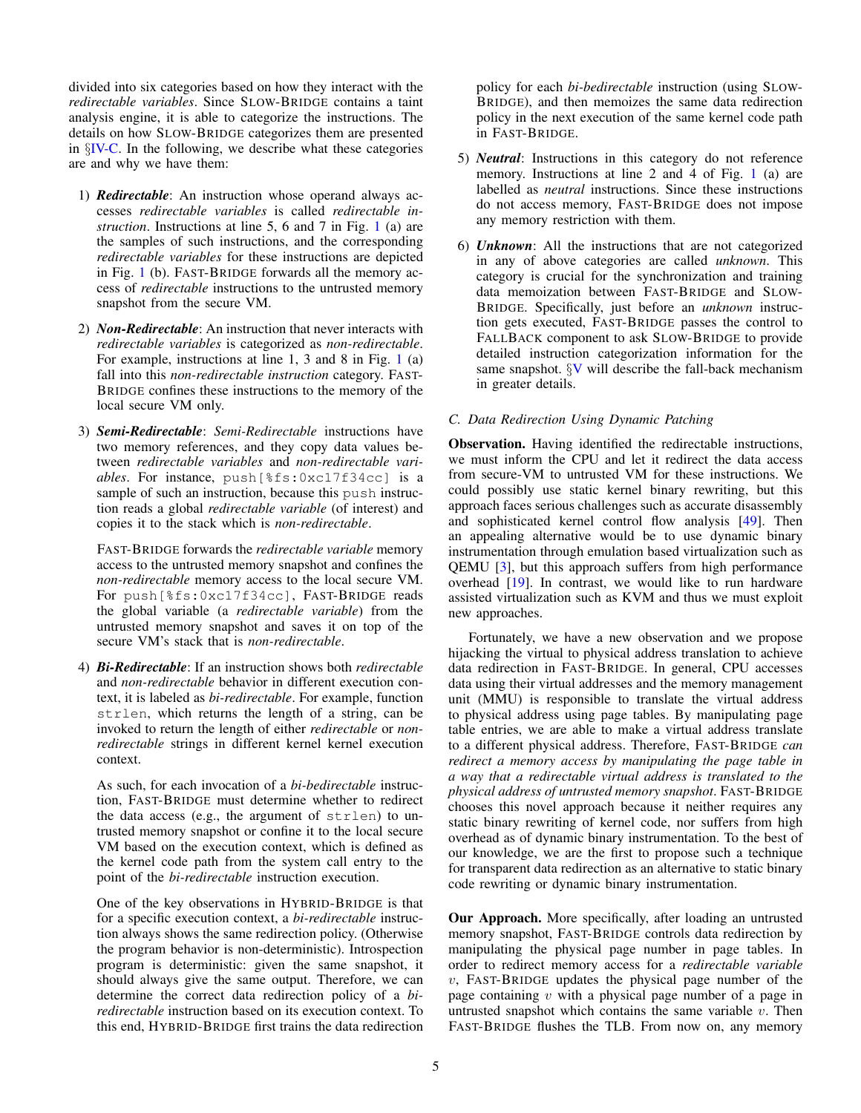divided into six categories based on how they interact with the *redirectable variables*. Since SLOW-BRIDGE contains a taint analysis engine, it is able to categorize the instructions. The details on how SLOW-BRIDGE categorizes them are presented in *§*[IV-C.](#page-8-2) In the following, we describe what these categories are and why we have them:

- 1) *Redirectable*: An instruction whose operand always accesses *redirectable variables* is called *redirectable instruction*. Instructions at line 5, 6 and 7 in Fig. [1](#page-1-0) (a) are the samples of such instructions, and the corresponding *redirectable variables* for these instructions are depicted in Fig. [1](#page-1-0) (b). FAST-BRIDGE forwards all the memory access of *redirectable* instructions to the untrusted memory snapshot from the secure VM.
- 2) *Non-Redirectable*: An instruction that never interacts with *redirectable variables* is categorized as *non-redirectable*. For example, instructions at line 1, 3 and 8 in Fig. [1](#page-1-0) (a) fall into this *non-redirectable instruction* category. FAST-BRIDGE confines these instructions to the memory of the local secure VM only.
- 3) *Semi-Redirectable*: *Semi-Redirectable* instructions have two memory references, and they copy data values between *redirectable variables* and *non-redirectable variables*. For instance, push[%fs:0xc17f34cc] is a sample of such an instruction, because this push instruction reads a global *redirectable variable* (of interest) and copies it to the stack which is *non-redirectable*.

FAST-BRIDGE forwards the *redirectable variable* memory access to the untrusted memory snapshot and confines the *non-redirectable* memory access to the local secure VM. For push[%fs:0xc17f34cc], FAST-BRIDGE reads the global variable (a *redirectable variable*) from the untrusted memory snapshot and saves it on top of the secure VM's stack that is *non-redirectable*.

4) *Bi-Redirectable*: If an instruction shows both *redirectable* and *non-redirectable* behavior in different execution context, it is labeled as *bi-redirectable*. For example, function strlen, which returns the length of a string, can be invoked to return the length of either *redirectable* or *nonredirectable* strings in different kernel kernel execution context.

As such, for each invocation of a *bi-bedirectable* instruction, FAST-BRIDGE must determine whether to redirect the data access (e.g., the argument of strlen) to untrusted memory snapshot or confine it to the local secure VM based on the execution context, which is defined as the kernel code path from the system call entry to the point of the *bi-redirectable* instruction execution.

One of the key observations in HYBRID-BRIDGE is that for a specific execution context, a *bi-redirectable* instruction always shows the same redirection policy. (Otherwise the program behavior is non-deterministic). Introspection program is deterministic: given the same snapshot, it should always give the same output. Therefore, we can determine the correct data redirection policy of a *biredirectable* instruction based on its execution context. To this end, HYBRID-BRIDGE first trains the data redirection

policy for each *bi-bedirectable* instruction (using SLOW-BRIDGE), and then memoizes the same data redirection policy in the next execution of the same kernel code path in FAST-BRIDGE.

- 5) *Neutral*: Instructions in this category do not reference memory. Instructions at line 2 and 4 of Fig. [1](#page-1-0) (a) are labelled as *neutral* instructions. Since these instructions do not access memory, FAST-BRIDGE does not impose any memory restriction with them.
- 6) *Unknown*: All the instructions that are not categorized in any of above categories are called *unknown*. This category is crucial for the synchronization and training data memoization between FAST-BRIDGE and SLOW-BRIDGE. Specifically, just before an *unknown* instruction gets executed, FAST-BRIDGE passes the control to FALLBACK component to ask SLOW-BRIDGE to provide detailed instruction categorization information for the same snapshot. *§*[V](#page-8-0) will describe the fall-back mechanism in greater details.

### <span id="page-4-0"></span>*C. Data Redirection Using Dynamic Patching*

Observation. Having identified the redirectable instructions, we must inform the CPU and let it redirect the data access from secure-VM to untrusted VM for these instructions. We could possibly use static kernel binary rewriting, but this approach faces serious challenges such as accurate disassembly and sophisticated kernel control flow analysis [\[49\]](#page-14-14). Then an appealing alternative would be to use dynamic binary instrumentation through emulation based virtualization such as QEMU [\[3\]](#page-13-10), but this approach suffers from high performance overhead [\[19\]](#page-13-7). In contrast, we would like to run hardware assisted virtualization such as KVM and thus we must exploit new approaches.

Fortunately, we have a new observation and we propose hijacking the virtual to physical address translation to achieve data redirection in FAST-BRIDGE. In general, CPU accesses data using their virtual addresses and the memory management unit (MMU) is responsible to translate the virtual address to physical address using page tables. By manipulating page table entries, we are able to make a virtual address translate to a different physical address. Therefore, FAST-BRIDGE *can redirect a memory access by manipulating the page table in a way that a redirectable virtual address is translated to the physical address of untrusted memory snapshot*. FAST-BRIDGE chooses this novel approach because it neither requires any static binary rewriting of kernel code, nor suffers from high overhead as of dynamic binary instrumentation. To the best of our knowledge, we are the first to propose such a technique for transparent data redirection as an alternative to static binary code rewriting or dynamic binary instrumentation.

Our Approach. More specifically, after loading an untrusted memory snapshot, FAST-BRIDGE controls data redirection by manipulating the physical page number in page tables. In order to redirect memory access for a *redirectable variable v*, FAST-BRIDGE updates the physical page number of the page containing *v* with a physical page number of a page in untrusted snapshot which contains the same variable *v*. Then FAST-BRIDGE flushes the TLB. From now on, any memory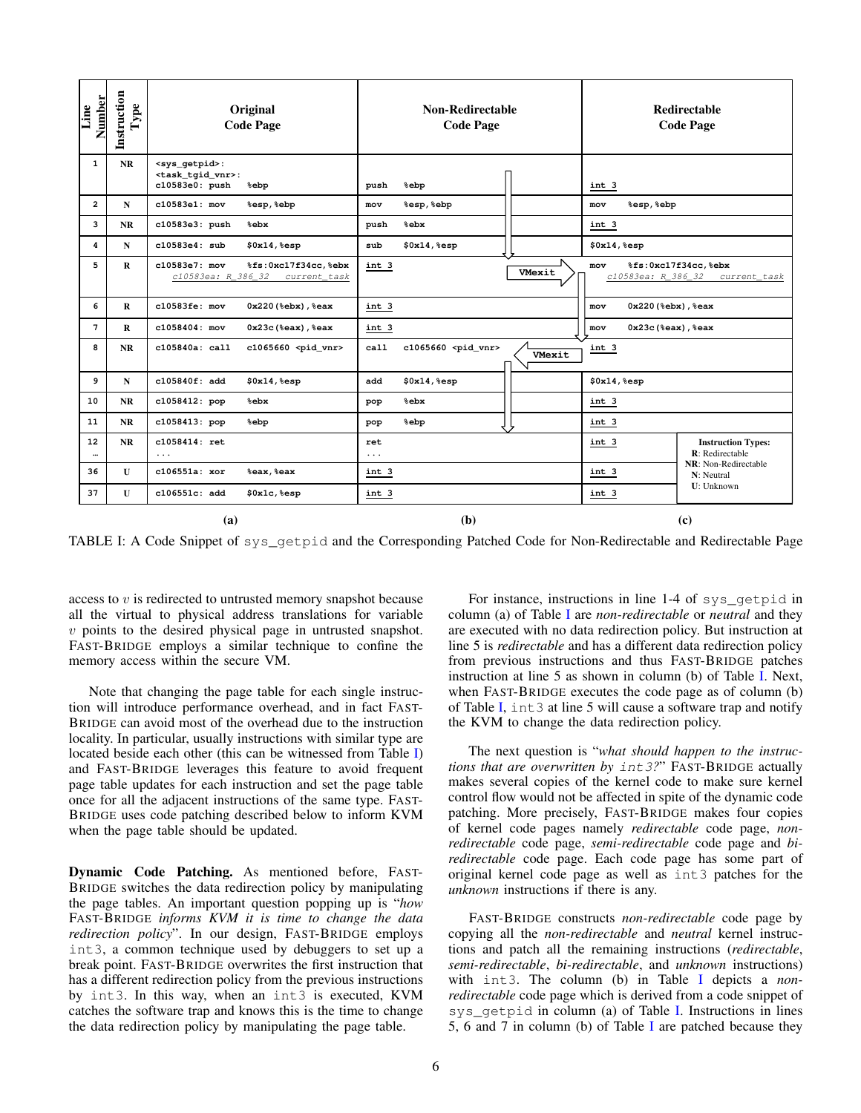<span id="page-5-0"></span>

| <b>Number</b><br>Line | Instruction<br>${\bf Type}$ | Original<br><b>Code Page</b>                                                                | <b>Non-Redirectable</b><br><b>Code Page</b>      | <b>Redirectable</b><br><b>Code Page</b>                          |  |  |
|-----------------------|-----------------------------|---------------------------------------------------------------------------------------------|--------------------------------------------------|------------------------------------------------------------------|--|--|
| $\mathbf{1}$          | NR                          | <sys_getpid>:<br/><task_tgid_vnr>:<br/>c10583e0: push<br/>%ebp</task_tgid_vnr></sys_getpid> | push<br>%ebp                                     | int 3                                                            |  |  |
| $\overline{2}$        | N                           | c10583e1: mov<br>%esp, %ebp                                                                 | %esp, %ebp<br>mov                                | %esp, %ebp<br>mov                                                |  |  |
| 3                     | <b>NR</b>                   | c10583e3: push<br>%ebx                                                                      | %ebx<br>push                                     | int 3                                                            |  |  |
| 4                     | N                           | c10583e4: sub<br>\$0x14, \$esp                                                              | sub<br>\$0x14, \$esp                             | \$0x14, %esp                                                     |  |  |
| 5                     | $\mathbf R$                 | c10583e7: mov<br>%fs:0xc17f34cc,%ebx<br>c10583ea: R 386 32<br>current_task                  | int 3<br>VMexit                                  | %fs:0xc17f34cc,%ebx<br>mov<br>c10583ea: R_386_32<br>current_task |  |  |
| 6                     | R                           | c10583fe: mov<br>$0x220$ (%ebx), %eax                                                       | int 3                                            | 0x220(%ebx), %eax<br>mov                                         |  |  |
| 7                     | R                           | $c1058404:$ mov<br>$0x23c$ ( $seax$ ), $seax$                                               | int 3                                            | $0x23c$ ( $seax$ ), $seax$<br>mov                                |  |  |
| 8                     | <b>NR</b>                   | c105840a: call<br>c1065660 <pid_vnr></pid_vnr>                                              | c1065660 <pid_vnr><br/>ca11<br/>VMexit</pid_vnr> | int 3                                                            |  |  |
| 9                     | N                           | c105840f: add<br>\$0x14, \$esp                                                              | \$0x14, %esp<br>add                              | \$0x14, \$esp                                                    |  |  |
| 10                    | <b>NR</b>                   | c1058412: pop<br>%ebx                                                                       | %ebx<br>pop                                      | int 3                                                            |  |  |
| 11                    | <b>NR</b>                   | c1058413: pop<br>%ebp                                                                       | %ebp<br>pop                                      | int 3                                                            |  |  |
| 12<br>                | <b>NR</b>                   | $c1058414:$ ret<br>$\cdots$                                                                 | ret<br>$\ldots$                                  | int 3<br><b>Instruction Types:</b><br>R: Redirectable            |  |  |
| 36                    | $\mathbf{U}$                | $c106551a$ : xor<br>%eax, %eax                                                              | int 3                                            | NR: Non-Redirectable<br>int 3<br>N: Neutral                      |  |  |
| 37                    | $\mathbf{U}$                | c106551c: add<br>\$0x1c, %esp                                                               | int 3                                            | <b>U</b> : Unknown<br>int 3                                      |  |  |
| (a)                   |                             |                                                                                             | (b)                                              | (c)                                                              |  |  |

TABLE I: A Code Snippet of sys\_getpid and the Corresponding Patched Code for Non-Redirectable and Redirectable Page

access to *v* is redirected to untrusted memory snapshot because all the virtual to physical address translations for variable *v* points to the desired physical page in untrusted snapshot. FAST-BRIDGE employs a similar technique to confine the memory access within the secure VM.

Note that changing the page table for each single instruction will introduce performance overhead, and in fact FAST-BRIDGE can avoid most of the overhead due to the instruction locality. In particular, usually instructions with similar type are located beside each other (this can be witnessed from Table [I\)](#page-5-0) and FAST-BRIDGE leverages this feature to avoid frequent page table updates for each instruction and set the page table once for all the adjacent instructions of the same type. FAST-BRIDGE uses code patching described below to inform KVM when the page table should be updated.

Dynamic Code Patching. As mentioned before, FAST-BRIDGE switches the data redirection policy by manipulating the page tables. An important question popping up is "*how* FAST-BRIDGE *informs KVM it is time to change the data redirection policy*". In our design, FAST-BRIDGE employs int3, a common technique used by debuggers to set up a break point. FAST-BRIDGE overwrites the first instruction that has a different redirection policy from the previous instructions by int3. In this way, when an int3 is executed, KVM catches the software trap and knows this is the time to change the data redirection policy by manipulating the page table.

For instance, instructions in line 1-4 of sys\_getpid in column (a) of Table [I](#page-5-0) are *non-redirectable* or *neutral* and they are executed with no data redirection policy. But instruction at line 5 is *redirectable* and has a different data redirection policy from previous instructions and thus FAST-BRIDGE patches instruction at line 5 as shown in column (b) of Table [I.](#page-5-0) Next, when FAST-BRIDGE executes the code page as of column (b) of Table [I,](#page-5-0) int 3 at line 5 will cause a software trap and notify the KVM to change the data redirection policy.

The next question is "*what should happen to the instructions that are overwritten by int3?*" FAST-BRIDGE actually makes several copies of the kernel code to make sure kernel control flow would not be affected in spite of the dynamic code patching. More precisely, FAST-BRIDGE makes four copies of kernel code pages namely *redirectable* code page, *nonredirectable* code page, *semi-redirectable* code page and *biredirectable* code page. Each code page has some part of original kernel code page as well as int3 patches for the *unknown* instructions if there is any.

FAST-BRIDGE constructs *non-redirectable* code page by copying all the *non-redirectable* and *neutral* kernel instructions and patch all the remaining instructions (*redirectable*, *semi-redirectable*, *bi-redirectable*, and *unknown* instructions) with int3. The column (b) in Table [I](#page-5-0) depicts a *nonredirectable* code page which is derived from a code snippet of sys\_getpid in column (a) of Table [I.](#page-5-0) Instructions in lines 5, 6 and 7 in column (b) of Table [I](#page-5-0) are patched because they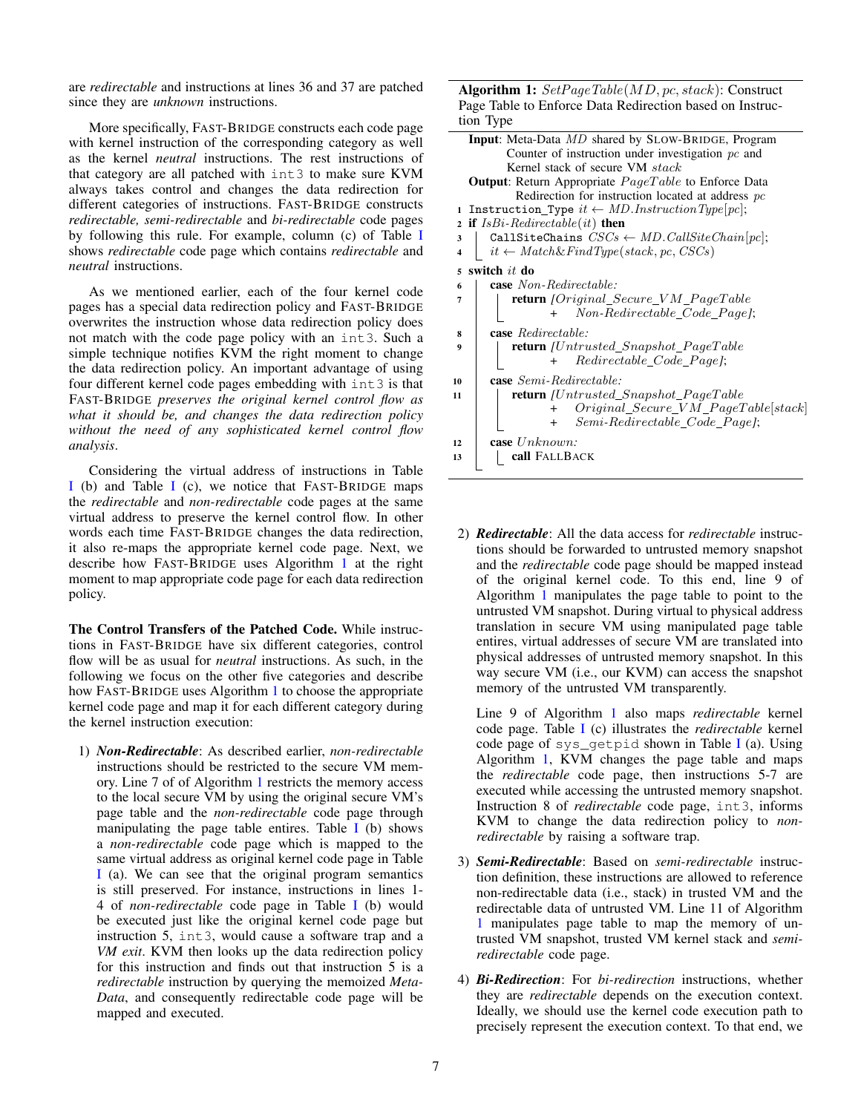are *redirectable* and instructions at lines 36 and 37 are patched since they are *unknown* instructions.

More specifically, FAST-BRIDGE constructs each code page with kernel instruction of the corresponding category as well as the kernel *neutral* instructions. The rest instructions of that category are all patched with int3 to make sure KVM always takes control and changes the data redirection for different categories of instructions. FAST-BRIDGE constructs *redirectable, semi-redirectable* and *bi-redirectable* code pages by following this rule. For example, column (c) of Table [I](#page-5-0) shows *redirectable* code page which contains *redirectable* and *neutral* instructions.

As we mentioned earlier, each of the four kernel code pages has a special data redirection policy and FAST-BRIDGE overwrites the instruction whose data redirection policy does not match with the code page policy with an int3. Such a simple technique notifies KVM the right moment to change the data redirection policy. An important advantage of using four different kernel code pages embedding with int3 is that FAST-BRIDGE *preserves the original kernel control flow as what it should be, and changes the data redirection policy without the need of any sophisticated kernel control flow analysis*.

Considering the virtual address of instructions in Table [I](#page-5-0) (b) and Table [I](#page-5-0) (c), we notice that FAST-BRIDGE maps the *redirectable* and *non-redirectable* code pages at the same virtual address to preserve the kernel control flow. In other words each time FAST-BRIDGE changes the data redirection, it also re-maps the appropriate kernel code page. Next, we describe how FAST-BRIDGE uses Algorithm [1](#page-6-0) at the right moment to map appropriate code page for each data redirection policy.

The Control Transfers of the Patched Code. While instructions in FAST-BRIDGE have six different categories, control flow will be as usual for *neutral* instructions. As such, in the following we focus on the other five categories and describe how FAST-BRIDGE uses Algorithm [1](#page-6-0) to choose the appropriate kernel code page and map it for each different category during the kernel instruction execution:

1) *Non-Redirectable*: As described earlier, *non-redirectable* instructions should be restricted to the secure VM memory. Line 7 of of Algorithm [1](#page-6-0) restricts the memory access to the local secure VM by using the original secure VM's page table and the *non-redirectable* code page through manipulating the page table entires. Table  $\overline{I}$  $\overline{I}$  $\overline{I}$  (b) shows a *non-redirectable* code page which is mapped to the same virtual address as original kernel code page in Table [I](#page-5-0) (a). We can see that the original program semantics is still preserved. For instance, instructions in lines 1- 4 of *non-redirectable* code page in Table [I](#page-5-0) (b) would be executed just like the original kernel code page but instruction 5, int3, would cause a software trap and a *VM exit*. KVM then looks up the data redirection policy for this instruction and finds out that instruction 5 is a *redirectable* instruction by querying the memoized *Meta-Data*, and consequently redirectable code page will be mapped and executed.

Algorithm 1: *SetPageTable*(*MD, pc, stack*): Construct Page Table to Enforce Data Redirection based on Instruction Type

<span id="page-6-0"></span>

| $100 \mu$ iye                                                               |
|-----------------------------------------------------------------------------|
| <b>Input:</b> Meta-Data <i>MD</i> shared by SLOW-BRIDGE, Program            |
| Counter of instruction under investigation $pc$ and                         |
| Kernel stack of secure VM stack                                             |
| <b>Output:</b> Return Appropriate $PageTable$ to Enforce Data               |
| Redirection for instruction located at address $pc$                         |
| 1 Instruction_Type $it \leftarrow MD-InstructionType[pc];$                  |
| <b>if</b> $IsBi-Redirectable(it)$ then<br>$\overline{2}$                    |
| CallSiteChains $CSCs \leftarrow MD.CallSiteChain[pc];$<br>3                 |
| $it \leftarrow Match\&FindType(state, pc, CSCs)$<br>$\overline{\mathbf{4}}$ |
| switch it do<br>5                                                           |
| <b>case</b> Non-Redirectable:<br>6                                          |
| <b>return</b> [Original Secure VM PageTable<br>7                            |
| + Non-Redirectable Code Pagel;                                              |
|                                                                             |
| <b>case</b> Redirectable:<br>8                                              |
| <b>return</b> [Untrusted_Snapshot_PageTable<br>9                            |
| Redirectable Code Pagel;<br>$+$                                             |
| <b>case</b> Semi-Redirectable:<br>10                                        |
| <b>return</b> [Untrusted Snapshot PageTable<br>11                           |
| $Original\_Secure\_VM\_PageTable[stack]$<br>$+$                             |
| Semi-Redirectable Code Pagel;<br>$+$                                        |
| case $Unknown:$<br>12                                                       |
|                                                                             |
| call FALLBACK<br>13                                                         |
|                                                                             |

2) *Redirectable*: All the data access for *redirectable* instructions should be forwarded to untrusted memory snapshot and the *redirectable* code page should be mapped instead of the original kernel code. To this end, line 9 of Algorithm [1](#page-6-0) manipulates the page table to point to the untrusted VM snapshot. During virtual to physical address translation in secure VM using manipulated page table entires, virtual addresses of secure VM are translated into physical addresses of untrusted memory snapshot. In this way secure VM (i.e., our KVM) can access the snapshot memory of the untrusted VM transparently.

Line 9 of Algorithm [1](#page-6-0) also maps *redirectable* kernel code page. Table [I](#page-5-0) (c) illustrates the *redirectable* kernel code page of sys qetpid shown in Table [I](#page-5-0) (a). Using Algorithm [1,](#page-6-0) KVM changes the page table and maps the *redirectable* code page, then instructions 5-7 are executed while accessing the untrusted memory snapshot. Instruction 8 of *redirectable* code page, int3, informs KVM to change the data redirection policy to *nonredirectable* by raising a software trap.

- 3) *Semi-Redirectable*: Based on *semi-redirectable* instruction definition, these instructions are allowed to reference non-redirectable data (i.e., stack) in trusted VM and the redirectable data of untrusted VM. Line 11 of Algorithm [1](#page-6-0) manipulates page table to map the memory of untrusted VM snapshot, trusted VM kernel stack and *semiredirectable* code page.
- 4) *Bi-Redirection*: For *bi-redirection* instructions, whether they are *redirectable* depends on the execution context. Ideally, we should use the kernel code execution path to precisely represent the execution context. To that end, we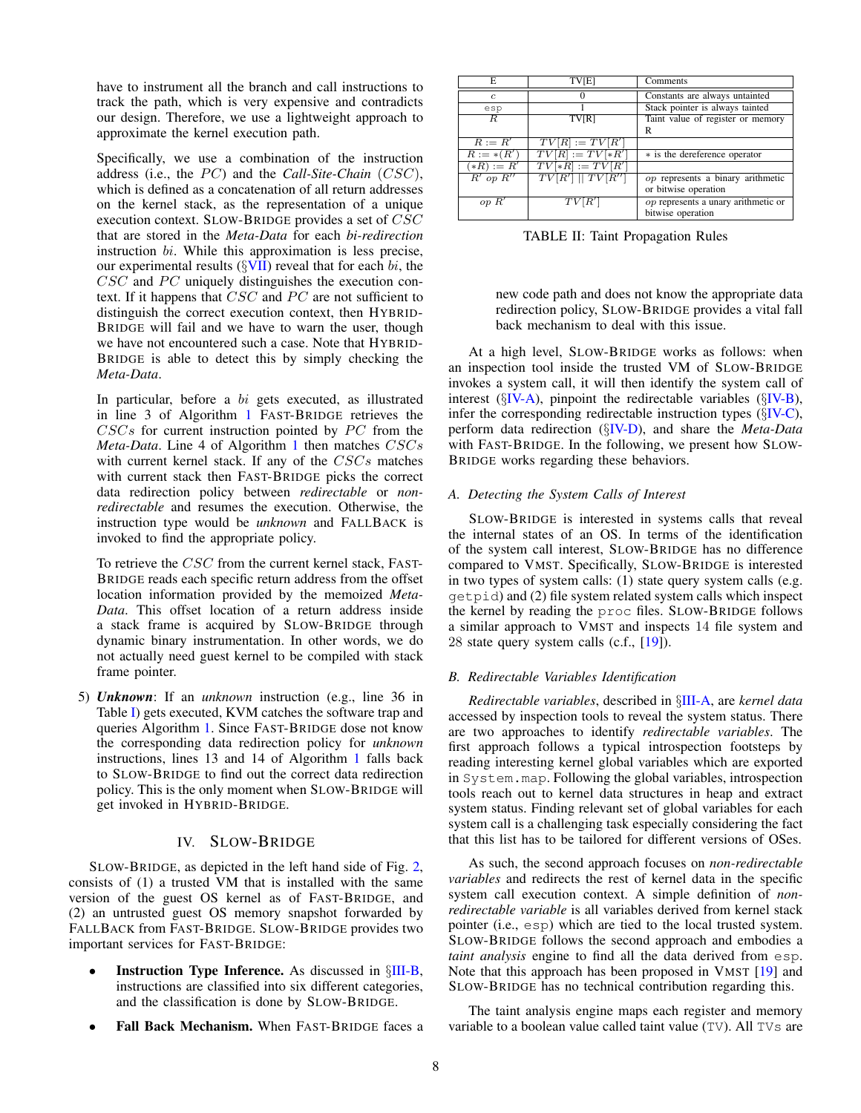have to instrument all the branch and call instructions to track the path, which is very expensive and contradicts our design. Therefore, we use a lightweight approach to approximate the kernel execution path.

Specifically, we use a combination of the instruction address (i.e., the *PC*) and the *Call-Site-Chain* (*CSC*), which is defined as a concatenation of all return addresses on the kernel stack, as the representation of a unique execution context. SLOW-BRIDGE provides a set of *CSC* that are stored in the *Meta-Data* for each *bi-redirection* instruction *bi*. While this approximation is less precise, our experimental results (*§*[VII\)](#page-9-0) reveal that for each *bi*, the *CSC* and *PC* uniquely distinguishes the execution context. If it happens that *CSC* and *PC* are not sufficient to distinguish the correct execution context, then HYBRID-BRIDGE will fail and we have to warn the user, though we have not encountered such a case. Note that HYBRID-BRIDGE is able to detect this by simply checking the *Meta-Data*.

In particular, before a *bi* gets executed, as illustrated in line 3 of Algorithm [1](#page-6-0) FAST-BRIDGE retrieves the *CSCs* for current instruction pointed by *PC* from the *Meta-Data*. Line 4 of Algorithm [1](#page-6-0) then matches *CSCs* with current kernel stack. If any of the *CSCs* matches with current stack then FAST-BRIDGE picks the correct data redirection policy between *redirectable* or *nonredirectable* and resumes the execution. Otherwise, the instruction type would be *unknown* and FALLBACK is invoked to find the appropriate policy.

To retrieve the *CSC* from the current kernel stack, FAST-BRIDGE reads each specific return address from the offset location information provided by the memoized *Meta-Data*. This offset location of a return address inside a stack frame is acquired by SLOW-BRIDGE through dynamic binary instrumentation. In other words, we do not actually need guest kernel to be compiled with stack frame pointer.

5) *Unknown*: If an *unknown* instruction (e.g., line 36 in Table [I\)](#page-5-0) gets executed, KVM catches the software trap and queries Algorithm [1.](#page-6-0) Since FAST-BRIDGE dose not know the corresponding data redirection policy for *unknown* instructions, lines 13 and 14 of Algorithm [1](#page-6-0) falls back to SLOW-BRIDGE to find out the correct data redirection policy. This is the only moment when SLOW-BRIDGE will get invoked in HYBRID-BRIDGE.

### IV. SLOW-BRIDGE

<span id="page-7-0"></span>SLOW-BRIDGE, as depicted in the left hand side of Fig. [2,](#page-2-1) consists of (1) a trusted VM that is installed with the same version of the guest OS kernel as of FAST-BRIDGE, and (2) an untrusted guest OS memory snapshot forwarded by FALLBACK from FAST-BRIDGE. SLOW-BRIDGE provides two important services for FAST-BRIDGE:

- **Instruction Type Inference.** As discussed in  $\S$ [III-B,](#page-3-1) instructions are classified into six different categories, and the classification is done by SLOW-BRIDGE.
- Fall Back Mechanism. When FAST-BRIDGE faces a

<span id="page-7-3"></span>

| F.            | <b>TV<sub>[E]</sub></b> | Comments                                                        |  |  |
|---------------|-------------------------|-----------------------------------------------------------------|--|--|
| $\epsilon$    |                         | Constants are always untainted                                  |  |  |
| esp           |                         | Stack pointer is always tainted                                 |  |  |
| R.            | TV <sub>R</sub>         | Taint value of register or memory                               |  |  |
|               |                         | R                                                               |  |  |
| $R := R'$     | $TV[R] := TV[R']$       |                                                                 |  |  |
| $R := *(R'$   | $TV[R] := TV[*R']$      | * is the dereference operator                                   |  |  |
| $(*R) := R'$  | $TV[*R] := TV[R']$      |                                                                 |  |  |
| $R'$ op $R''$ | TV[R']    TV[R'']       | op represents a binary arithmetic                               |  |  |
|               |                         | or bitwise operation                                            |  |  |
| op R'         | TV[R']                  | <i>op</i> represents a unary arithmetic or<br>bitwise operation |  |  |

TABLE II: Taint Propagation Rules

new code path and does not know the appropriate data redirection policy, SLOW-BRIDGE provides a vital fall back mechanism to deal with this issue.

At a high level, SLOW-BRIDGE works as follows: when an inspection tool inside the trusted VM of SLOW-BRIDGE invokes a system call, it will then identify the system call of interest (*§*[IV-A\)](#page-7-2), pinpoint the redirectable variables (*§*[IV-B\)](#page-7-1), infer the corresponding redirectable instruction types (*§*[IV-C\)](#page-8-2), perform data redirection (*§*[IV-D\)](#page-8-3), and share the *Meta-Data* with FAST-BRIDGE. In the following, we present how SLOW-BRIDGE works regarding these behaviors.

### <span id="page-7-2"></span>*A. Detecting the System Calls of Interest*

SLOW-BRIDGE is interested in systems calls that reveal the internal states of an OS. In terms of the identification of the system call interest, SLOW-BRIDGE has no difference compared to VMST. Specifically, SLOW-BRIDGE is interested in two types of system calls: (1) state query system calls (e.g. getpid) and (2) file system related system calls which inspect the kernel by reading the proc files. SLOW-BRIDGE follows a similar approach to VMST and inspects 14 file system and 28 state query system calls (c.f., [\[19\]](#page-13-7)).

### <span id="page-7-1"></span>*B. Redirectable Variables Identification*

*Redirectable variables*, described in *§*[III-A,](#page-3-2) are *kernel data* accessed by inspection tools to reveal the system status. There are two approaches to identify *redirectable variables*. The first approach follows a typical introspection footsteps by reading interesting kernel global variables which are exported in System.map. Following the global variables, introspection tools reach out to kernel data structures in heap and extract system status. Finding relevant set of global variables for each system call is a challenging task especially considering the fact that this list has to be tailored for different versions of OSes.

As such, the second approach focuses on *non-redirectable variables* and redirects the rest of kernel data in the specific system call execution context. A simple definition of *nonredirectable variable* is all variables derived from kernel stack pointer (i.e., esp) which are tied to the local trusted system. SLOW-BRIDGE follows the second approach and embodies a *taint analysis* engine to find all the data derived from esp. Note that this approach has been proposed in VMST [\[19\]](#page-13-7) and SLOW-BRIDGE has no technical contribution regarding this.

The taint analysis engine maps each register and memory variable to a boolean value called taint value (TV). All TVs are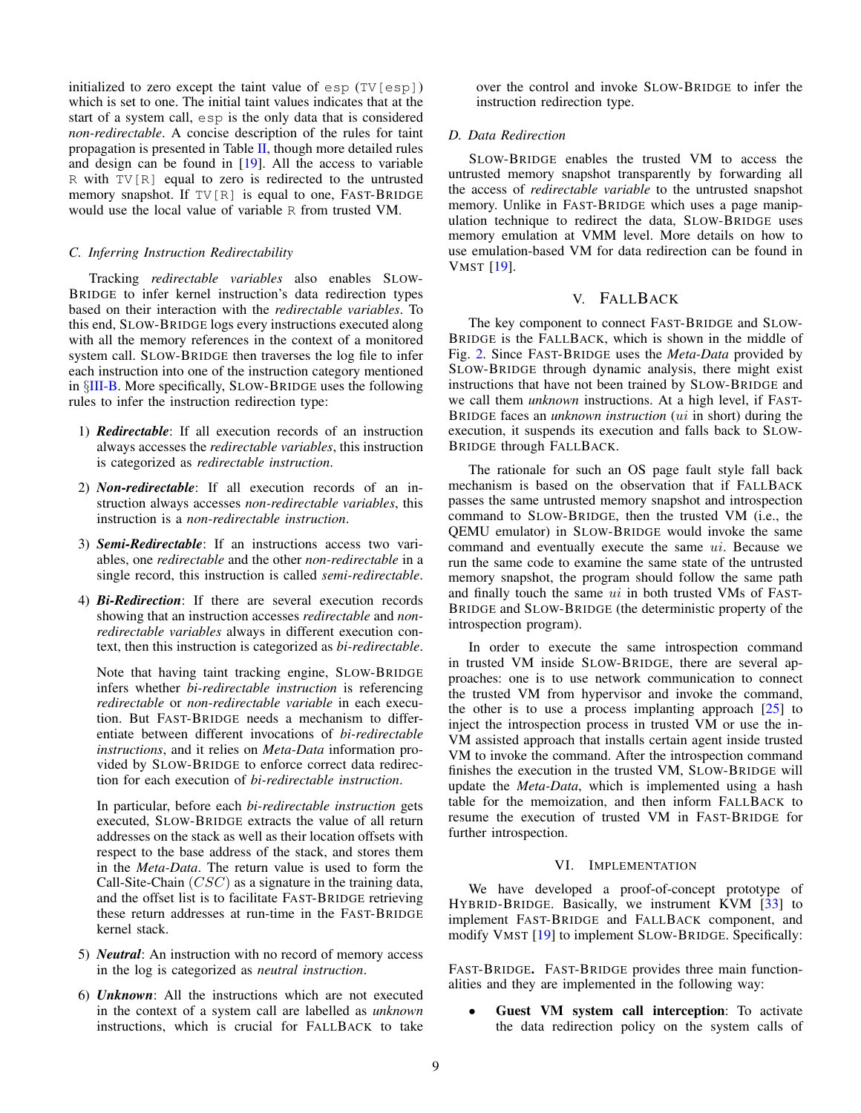initialized to zero except the taint value of  $\exp(TV[\exp])$ which is set to one. The initial taint values indicates that at the start of a system call, esp is the only data that is considered *non-redirectable*. A concise description of the rules for taint propagation is presented in Table  $II$ , though more detailed rules and design can be found in [\[19\]](#page-13-7). All the access to variable R with TV[R] equal to zero is redirected to the untrusted memory snapshot. If  $TV[R]$  is equal to one, FAST-BRIDGE would use the local value of variable R from trusted VM.

#### <span id="page-8-2"></span>*C. Inferring Instruction Redirectability*

Tracking *redirectable variables* also enables SLOW-BRIDGE to infer kernel instruction's data redirection types based on their interaction with the *redirectable variables*. To this end, SLOW-BRIDGE logs every instructions executed along with all the memory references in the context of a monitored system call. SLOW-BRIDGE then traverses the log file to infer each instruction into one of the instruction category mentioned in *§*[III-B.](#page-3-1) More specifically, SLOW-BRIDGE uses the following rules to infer the instruction redirection type:

- 1) *Redirectable*: If all execution records of an instruction always accesses the *redirectable variables*, this instruction is categorized as *redirectable instruction*.
- 2) *Non-redirectable*: If all execution records of an instruction always accesses *non-redirectable variables*, this instruction is a *non-redirectable instruction*.
- 3) *Semi-Redirectable*: If an instructions access two variables, one *redirectable* and the other *non-redirectable* in a single record, this instruction is called *semi-redirectable*.
- 4) *Bi-Redirection*: If there are several execution records showing that an instruction accesses *redirectable* and *nonredirectable variables* always in different execution context, then this instruction is categorized as *bi-redirectable*.

Note that having taint tracking engine, SLOW-BRIDGE infers whether *bi-redirectable instruction* is referencing *redirectable* or *non-redirectable variable* in each execution. But FAST-BRIDGE needs a mechanism to differentiate between different invocations of *bi-redirectable instructions*, and it relies on *Meta-Data* information provided by SLOW-BRIDGE to enforce correct data redirection for each execution of *bi-redirectable instruction*.

In particular, before each *bi-redirectable instruction* gets executed, SLOW-BRIDGE extracts the value of all return addresses on the stack as well as their location offsets with respect to the base address of the stack, and stores them in the *Meta-Data*. The return value is used to form the Call-Site-Chain (*CSC*) as a signature in the training data, and the offset list is to facilitate FAST-BRIDGE retrieving these return addresses at run-time in the FAST-BRIDGE kernel stack.

- 5) *Neutral*: An instruction with no record of memory access in the log is categorized as *neutral instruction*.
- 6) *Unknown*: All the instructions which are not executed in the context of a system call are labelled as *unknown* instructions, which is crucial for FALLBACK to take

over the control and invoke SLOW-BRIDGE to infer the instruction redirection type.

#### <span id="page-8-3"></span>*D. Data Redirection*

SLOW-BRIDGE enables the trusted VM to access the untrusted memory snapshot transparently by forwarding all the access of *redirectable variable* to the untrusted snapshot memory. Unlike in FAST-BRIDGE which uses a page manipulation technique to redirect the data, SLOW-BRIDGE uses memory emulation at VMM level. More details on how to use emulation-based VM for data redirection can be found in VMST [\[19\]](#page-13-7).

#### V. FALLBACK

<span id="page-8-0"></span>The key component to connect FAST-BRIDGE and SLOW-BRIDGE is the FALLBACK, which is shown in the middle of Fig. [2.](#page-2-1) Since FAST-BRIDGE uses the *Meta-Data* provided by SLOW-BRIDGE through dynamic analysis, there might exist instructions that have not been trained by SLOW-BRIDGE and we call them *unknown* instructions. At a high level, if FAST-BRIDGE faces an *unknown instruction* (*ui* in short) during the execution, it suspends its execution and falls back to SLOW-BRIDGE through FALLBACK.

The rationale for such an OS page fault style fall back mechanism is based on the observation that if FALLBACK passes the same untrusted memory snapshot and introspection command to SLOW-BRIDGE, then the trusted VM (i.e., the QEMU emulator) in SLOW-BRIDGE would invoke the same command and eventually execute the same *ui*. Because we run the same code to examine the same state of the untrusted memory snapshot, the program should follow the same path and finally touch the same *ui* in both trusted VMs of FAST-BRIDGE and SLOW-BRIDGE (the deterministic property of the introspection program).

In order to execute the same introspection command in trusted VM inside SLOW-BRIDGE, there are several approaches: one is to use network communication to connect the trusted VM from hypervisor and invoke the command, the other is to use a process implanting approach  $[25]$  to inject the introspection process in trusted VM or use the in-VM assisted approach that installs certain agent inside trusted VM to invoke the command. After the introspection command finishes the execution in the trusted VM, SLOW-BRIDGE will update the *Meta-Data*, which is implemented using a hash table for the memoization, and then inform FALLBACK to resume the execution of trusted VM in FAST-BRIDGE for further introspection.

#### VI. IMPLEMENTATION

<span id="page-8-1"></span>We have developed a proof-of-concept prototype of HYBRID-BRIDGE. Basically, we instrument KVM [\[33\]](#page-14-11) to implement FAST-BRIDGE and FALLBACK component, and modify VMST [\[19\]](#page-13-7) to implement SLOW-BRIDGE. Specifically:

FAST-BRIDGE. FAST-BRIDGE provides three main functionalities and they are implemented in the following way:

Guest VM system call interception: To activate the data redirection policy on the system calls of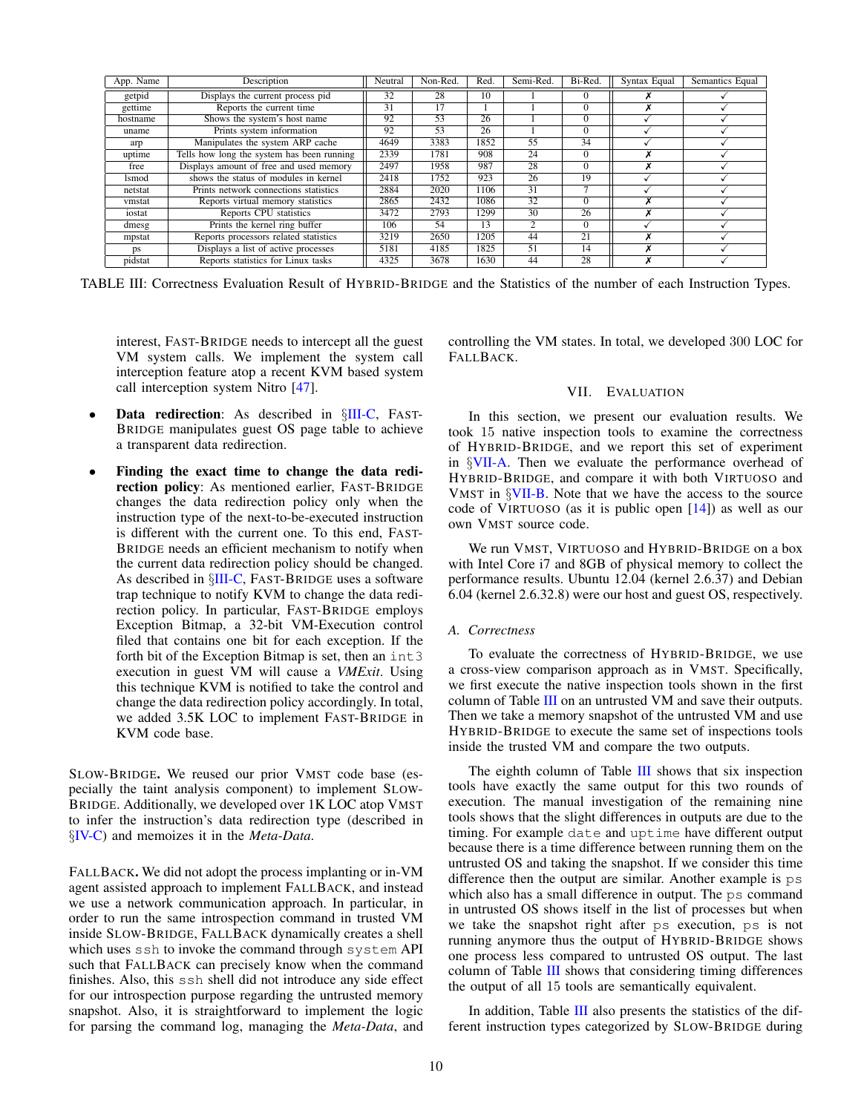<span id="page-9-2"></span>

| App. Name | Description                                | Neutral | Non-Red. | Red. | Semi-Red.      | Bi-Red.                  | Syntax Equal | Semantics Equal |
|-----------|--------------------------------------------|---------|----------|------|----------------|--------------------------|--------------|-----------------|
| getpid    | Displays the current process pid           | 32      | 28       | 10   |                | $\Omega$                 |              |                 |
| gettime   | Reports the current time                   | 31      |          |      |                | $\mathbf{0}$             |              |                 |
| hostname  | Shows the system's host name               | 92      | 53       | 26   |                | $\mathbf{0}$             |              |                 |
| uname     | Prints system information                  | 92      | 53       | 26   |                | $\Omega$                 |              |                 |
| arp       | Manipulates the system ARP cache           | 4649    | 3383     | 1852 | 55             | 34                       |              |                 |
| uptime    | Tells how long the system has been running | 2339    | 1781     | 908  | 24             | $\mathbf{0}$             |              |                 |
| free      | Displays amount of free and used memory    | 2497    | 1958     | 987  | 28             | $\Omega$                 | ^            |                 |
| lsmod     | shows the status of modules in kernel      | 2418    | 1752     | 923  | 26             | 19                       |              |                 |
| netstat   | Prints network connections statistics      | 2884    | 2020     | 1106 | 31             | $\overline{\phantom{0}}$ |              |                 |
| vmstat    | Reports virtual memory statistics          | 2865    | 2432     | 1086 | 32             | $\Omega$                 | ^            |                 |
| iostat    | Reports CPU statistics                     | 3472    | 2793     | 1299 | 30             | 26                       |              |                 |
| dmesg     | Prints the kernel ring buffer              | 106     | 54       | 13   | $\mathfrak{D}$ | $\Omega$                 |              |                 |
| mpstat    | Reports processors related statistics      | 3219    | 2650     | 1205 | 44             | 21                       |              |                 |
| ps        | Displays a list of active processes        | 5181    | 4185     | 1825 | 51             | 14                       |              |                 |
| pidstat   | Reports statistics for Linux tasks         | 4325    | 3678     | 1630 | 44             | 28                       |              |                 |

TABLE III: Correctness Evaluation Result of HYBRID-BRIDGE and the Statistics of the number of each Instruction Types.

interest, FAST-BRIDGE needs to intercept all the guest VM system calls. We implement the system call interception feature atop a recent KVM based system call interception system Nitro [\[47\]](#page-14-16).

- *•* Data redirection: As described in *§*[III-C,](#page-4-0) FAST-BRIDGE manipulates guest OS page table to achieve a transparent data redirection.
- *•* Finding the exact time to change the data redirection policy: As mentioned earlier, FAST-BRIDGE changes the data redirection policy only when the instruction type of the next-to-be-executed instruction is different with the current one. To this end, FAST-BRIDGE needs an efficient mechanism to notify when the current data redirection policy should be changed. As described in *§*[III-C,](#page-4-0) FAST-BRIDGE uses a software trap technique to notify KVM to change the data redirection policy. In particular, FAST-BRIDGE employs Exception Bitmap, a 32-bit VM-Execution control filed that contains one bit for each exception. If the forth bit of the Exception Bitmap is set, then an int3 execution in guest VM will cause a *VMExit*. Using this technique KVM is notified to take the control and change the data redirection policy accordingly. In total, we added 3.5K LOC to implement FAST-BRIDGE in KVM code base.

SLOW-BRIDGE. We reused our prior VMST code base (especially the taint analysis component) to implement SLOW-BRIDGE. Additionally, we developed over 1K LOC atop VMST to infer the instruction's data redirection type (described in *§*[IV-C\)](#page-8-2) and memoizes it in the *Meta-Data*.

FALLBACK. We did not adopt the process implanting or in-VM agent assisted approach to implement FALLBACK, and instead we use a network communication approach. In particular, in order to run the same introspection command in trusted VM inside SLOW-BRIDGE, FALLBACK dynamically creates a shell which uses ssh to invoke the command through system API such that FALLBACK can precisely know when the command finishes. Also, this ssh shell did not introduce any side effect for our introspection purpose regarding the untrusted memory snapshot. Also, it is straightforward to implement the logic for parsing the command log, managing the *Meta-Data*, and <span id="page-9-0"></span>controlling the VM states. In total, we developed 300 LOC for FALLBACK.

### VII. EVALUATION

In this section, we present our evaluation results. We took 15 native inspection tools to examine the correctness of HYBRID-BRIDGE, and we report this set of experiment in *§*[VII-A.](#page-9-1) Then we evaluate the performance overhead of HYBRID-BRIDGE, and compare it with both VIRTUOSO and VMST in *§*[VII-B.](#page-10-0) Note that we have the access to the source code of VIRTUOSO (as it is public open [\[14\]](#page-13-11)) as well as our own VMST source code.

We run VMST, VIRTUOSO and HYBRID-BRIDGE on a box with Intel Core i7 and 8GB of physical memory to collect the performance results. Ubuntu 12.04 (kernel 2.6.37) and Debian 6.04 (kernel 2.6.32.8) were our host and guest OS, respectively.

#### <span id="page-9-1"></span>*A. Correctness*

To evaluate the correctness of HYBRID-BRIDGE, we use a cross-view comparison approach as in VMST. Specifically, we first execute the native inspection tools shown in the first column of Table [III](#page-9-2) on an untrusted VM and save their outputs. Then we take a memory snapshot of the untrusted VM and use HYBRID-BRIDGE to execute the same set of inspections tools inside the trusted VM and compare the two outputs.

The eighth column of Table [III](#page-9-2) shows that six inspection tools have exactly the same output for this two rounds of execution. The manual investigation of the remaining nine tools shows that the slight differences in outputs are due to the timing. For example date and uptime have different output because there is a time difference between running them on the untrusted OS and taking the snapshot. If we consider this time difference then the output are similar. Another example is ps which also has a small difference in output. The ps command in untrusted OS shows itself in the list of processes but when we take the snapshot right after ps execution, ps is not running anymore thus the output of HYBRID-BRIDGE shows one process less compared to untrusted OS output. The last column of Table [III](#page-9-2) shows that considering timing differences the output of all 15 tools are semantically equivalent.

In addition, Table [III](#page-9-2) also presents the statistics of the different instruction types categorized by SLOW-BRIDGE during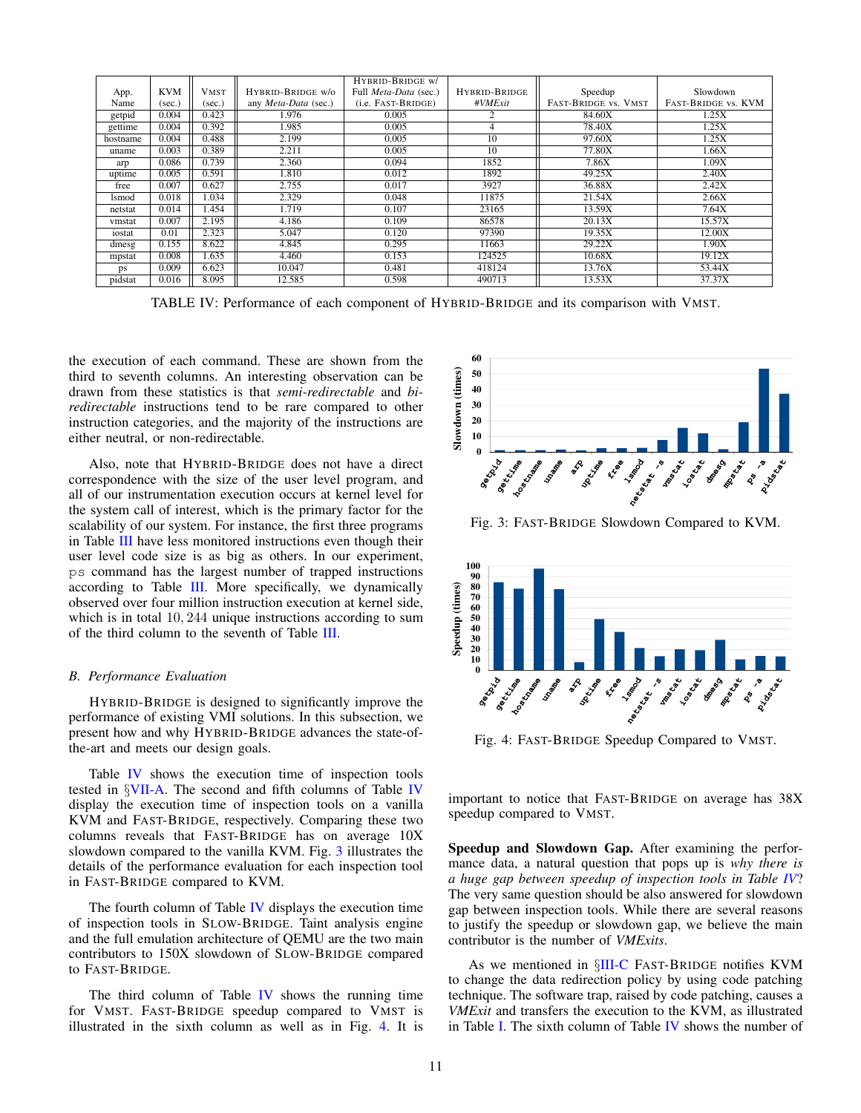<span id="page-10-1"></span>

|              |            |             |                      | HYBRID-BRIDGE w/      |                 |                      |                     |
|--------------|------------|-------------|----------------------|-----------------------|-----------------|----------------------|---------------------|
| App.         | <b>KVM</b> | <b>VMST</b> | HYBRID-BRIDGE w/o    | Full Meta-Data (sec.) | HYBRID-BRIDGE   | Speedup              | Slowdown            |
| Name         | (sec.)     | (sec.)      | any Meta-Data (sec.) | (i.e. FAST-BRIDGE)    | #VMExit         | FAST-BRIDGE VS. VMST | FAST-BRIDGE VS. KVM |
| getpid       | 0.004      | 0.423       | 1.976                | 0.005                 |                 | 84.60X               | 1.25X               |
| gettime      | 0.004      | 0.392       | 1.985                | 0.005                 |                 | 78.40X               | 1.25X               |
| hostname     | 0.004      | 0.488       | 2.199                | 0.005                 | $\overline{10}$ | 97.60X               | 1.25X               |
| uname        | 0.003      | 0.389       | 2.211                | 0.005                 | 10              | 77.80X               | 1.66X               |
| arp          | 0.086      | 0.739       | 2.360                | 0.094                 | 1852            | 7.86X                | 1.09X               |
| uptime       | 0.005      | 0.591       | 1.810                | 0.012                 | 1892            | 49.25X               | 2.40X               |
| free         | 0.007      | 0.627       | 2.755                | 0.017                 | 3927            | 36.88X               | 2.42X               |
| <b>lsmod</b> | 0.018      | 1.034       | 2.329                | 0.048                 | 11875           | 21.54X               | 2.66X               |
| netstat      | 0.014      | 1.454       | 1.719                | 0.107                 | 23165           | 13.59X               | 7.64X               |
| vmstat       | 0.007      | 2.195       | 4.186                | 0.109                 | 86578           | 20.13X               | 15.57X              |
| iostat       | 0.01       | 2.323       | 5.047                | 0.120                 | 97390           | 19.35X               | 12.00X              |
| dmesg        | 0.155      | 8.622       | 4.845                | 0.295                 | 11663           | 29.22X               | 1.90X               |
| mpstat       | 0.008      | 1.635       | 4.460                | 0.153                 | 124525          | 10.68X               | 19.12X              |
| ps           | 0.009      | 6.623       | 10.047               | 0.481                 | 418124          | 13.76X               | 53.44X              |
| pidstat      | 0.016      | 8.095       | 12.585               | 0.598                 | 490713          | 13.53X               | 37.37X              |

TABLE IV: Performance of each component of HYBRID-BRIDGE and its comparison with VMST.

the execution of each command. These are shown from the third to seventh columns. An interesting observation can be drawn from these statistics is that *semi-redirectable* and *biredirectable* instructions tend to be rare compared to other instruction categories, and the majority of the instructions are either neutral, or non-redirectable.

Also, note that HYBRID-BRIDGE does not have a direct correspondence with the size of the user level program, and all of our instrumentation execution occurs at kernel level for the system call of interest, which is the primary factor for the scalability of our system. For instance, the first three programs in Table [III](#page-9-2) have less monitored instructions even though their user level code size is as big as others. In our experiment, ps command has the largest number of trapped instructions according to Table [III.](#page-9-2) More specifically, we dynamically observed over four million instruction execution at kernel side, which is in total 10*,* 244 unique instructions according to sum of the third column to the seventh of Table [III.](#page-9-2)

#### <span id="page-10-0"></span>*B. Performance Evaluation*

HYBRID-BRIDGE is designed to significantly improve the performance of existing VMI solutions. In this subsection, we present how and why HYBRID-BRIDGE advances the state-ofthe-art and meets our design goals.

Table [IV](#page-10-1) shows the execution time of inspection tools tested in *§*[VII-A.](#page-9-1) The second and fifth columns of Table [IV](#page-10-1) display the execution time of inspection tools on a vanilla KVM and FAST-BRIDGE, respectively. Comparing these two columns reveals that FAST-BRIDGE has on average 10X slowdown compared to the vanilla KVM. Fig. [3](#page-10-2) illustrates the details of the performance evaluation for each inspection tool in FAST-BRIDGE compared to KVM.

The fourth column of Table [IV](#page-10-1) displays the execution time of inspection tools in SLOW-BRIDGE. Taint analysis engine and the full emulation architecture of QEMU are the two main contributors to 150X slowdown of SLOW-BRIDGE compared to FAST-BRIDGE.

The third column of Table  *shows the running time* for VMST. FAST-BRIDGE speedup compared to VMST is illustrated in the sixth column as well as in Fig. [4.](#page-10-3) It is

<span id="page-10-2"></span>

Fig. 3: FAST-BRIDGE Slowdown Compared to KVM.

<span id="page-10-3"></span>

Fig. 4: FAST-BRIDGE Speedup Compared to VMST.

important to notice that FAST-BRIDGE on average has 38X speedup compared to VMST.

Speedup and Slowdown Gap. After examining the performance data, a natural question that pops up is *why there is a huge gap between speedup of inspection tools in Table [IV](#page-10-1)*? The very same question should be also answered for slowdown gap between inspection tools. While there are several reasons to justify the speedup or slowdown gap, we believe the main contributor is the number of *VMExits*.

As we mentioned in *§*[III-C](#page-4-0) FAST-BRIDGE notifies KVM to change the data redirection policy by using code patching technique. The software trap, raised by code patching, causes a *VMExit* and transfers the execution to the KVM, as illustrated in Table [I.](#page-5-0) The sixth column of Table [IV](#page-10-1) shows the number of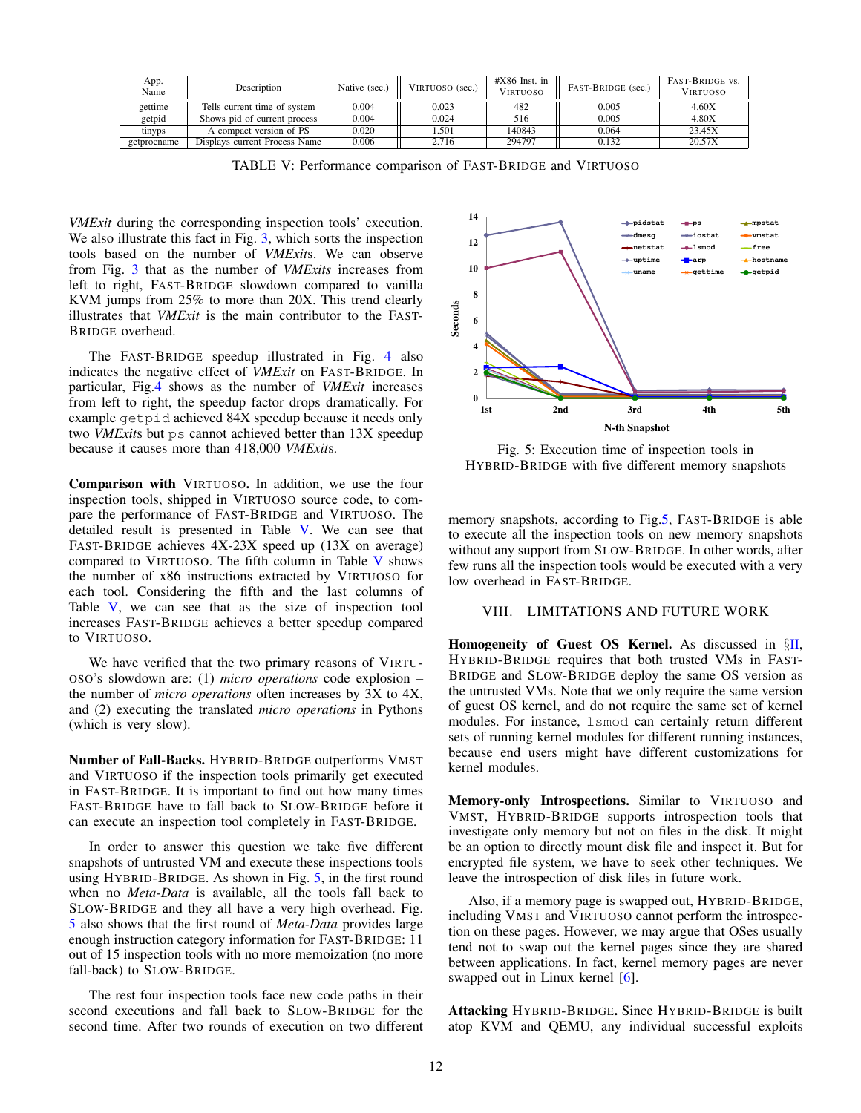<span id="page-11-1"></span>

| App.<br>Name | Description                   | Native (sec.) | VIRTUOSO (sec.) | $#X86$ Inst. in<br><b>VIRTUOSO</b> | FAST-BRIDGE (sec.) | <b>FAST-BRIDGE VS.</b><br><b>VIRTUOSO</b> |
|--------------|-------------------------------|---------------|-----------------|------------------------------------|--------------------|-------------------------------------------|
|              |                               |               |                 |                                    |                    |                                           |
| gettime      | Tells current time of system  | 0.004         | 0.023           | 482                                | 0.005              | 4.60X                                     |
| getpid       | Shows pid of current process  | 0.004         | 0.024           | 516                                | 0.005              | 4.80X                                     |
| tinyps       | A compact version of PS       | 0.020         | . 501           | 140843                             | 0.064              | 23.45X                                    |
| getprocname  | Displays current Process Name | 0.006         | 2.716           | 294797                             | 0.132              | 20.57X                                    |

TABLE V: Performance comparison of FAST-BRIDGE and VIRTUOSO

*VMExit* during the corresponding inspection tools' execution. We also illustrate this fact in Fig. [3,](#page-10-2) which sorts the inspection tools based on the number of *VMExit*s. We can observe from Fig. [3](#page-10-2) that as the number of *VMExits* increases from left to right, FAST-BRIDGE slowdown compared to vanilla KVM jumps from 25% to more than 20X. This trend clearly illustrates that *VMExit* is the main contributor to the FAST-BRIDGE overhead.

The FAST-BRIDGE speedup illustrated in Fig. [4](#page-10-3) also indicates the negative effect of *VMExit* on FAST-BRIDGE. In particular, Fig[.4](#page-10-3) shows as the number of *VMExit* increases from left to right, the speedup factor drops dramatically. For example getpid achieved 84X speedup because it needs only two *VMExit*s but ps cannot achieved better than 13X speedup because it causes more than 418,000 *VMExit*s.

Comparison with VIRTUOSO. In addition, we use the four inspection tools, shipped in VIRTUOSO source code, to compare the performance of FAST-BRIDGE and VIRTUOSO. The detailed result is presented in Table [V.](#page-11-1) We can see that FAST-BRIDGE achieves 4X-23X speed up (13X on average) compared to VIRTUOSO. The fifth column in Table [V](#page-11-1) shows the number of x86 instructions extracted by VIRTUOSO for each tool. Considering the fifth and the last columns of Table [V,](#page-11-1) we can see that as the size of inspection tool increases FAST-BRIDGE achieves a better speedup compared to VIRTUOSO.

We have verified that the two primary reasons of VIRTU-OSO's slowdown are: (1) *micro operations* code explosion – the number of *micro operations* often increases by 3X to 4X, and (2) executing the translated *micro operations* in Pythons (which is very slow).

Number of Fall-Backs. HYBRID-BRIDGE outperforms VMST and VIRTUOSO if the inspection tools primarily get executed in FAST-BRIDGE. It is important to find out how many times FAST-BRIDGE have to fall back to SLOW-BRIDGE before it can execute an inspection tool completely in FAST-BRIDGE.

In order to answer this question we take five different snapshots of untrusted VM and execute these inspections tools using HYBRID-BRIDGE. As shown in Fig. [5,](#page-11-2) in the first round when no *Meta-Data* is available, all the tools fall back to SLOW-BRIDGE and they all have a very high overhead. Fig. [5](#page-11-2) also shows that the first round of *Meta-Data* provides large enough instruction category information for FAST-BRIDGE: 11 out of 15 inspection tools with no more memoization (no more fall-back) to SLOW-BRIDGE.

The rest four inspection tools face new code paths in their second executions and fall back to SLOW-BRIDGE for the second time. After two rounds of execution on two different

<span id="page-11-2"></span>

Fig. 5: Execution time of inspection tools in HYBRID-BRIDGE with five different memory snapshots

memory snapshots, according to Fig[.5,](#page-11-2) FAST-BRIDGE is able to execute all the inspection tools on new memory snapshots without any support from SLOW-BRIDGE. In other words, after few runs all the inspection tools would be executed with a very low overhead in FAST-BRIDGE.

#### <span id="page-11-0"></span>VIII. LIMITATIONS AND FUTURE WORK

Homogeneity of Guest OS Kernel. As discussed in *§*[II,](#page-2-0) HYBRID-BRIDGE requires that both trusted VMs in FAST-BRIDGE and SLOW-BRIDGE deploy the same OS version as the untrusted VMs. Note that we only require the same version of guest OS kernel, and do not require the same set of kernel modules. For instance, lsmod can certainly return different sets of running kernel modules for different running instances, because end users might have different customizations for kernel modules.

Memory-only Introspections. Similar to VIRTUOSO and VMST, HYBRID-BRIDGE supports introspection tools that investigate only memory but not on files in the disk. It might be an option to directly mount disk file and inspect it. But for encrypted file system, we have to seek other techniques. We leave the introspection of disk files in future work.

Also, if a memory page is swapped out, HYBRID-BRIDGE, including VMST and VIRTUOSO cannot perform the introspection on these pages. However, we may argue that OSes usually tend not to swap out the kernel pages since they are shared between applications. In fact, kernel memory pages are never swapped out in Linux kernel [\[6\]](#page-13-12).

Attacking HYBRID-BRIDGE. Since HYBRID-BRIDGE is built atop KVM and QEMU, any individual successful exploits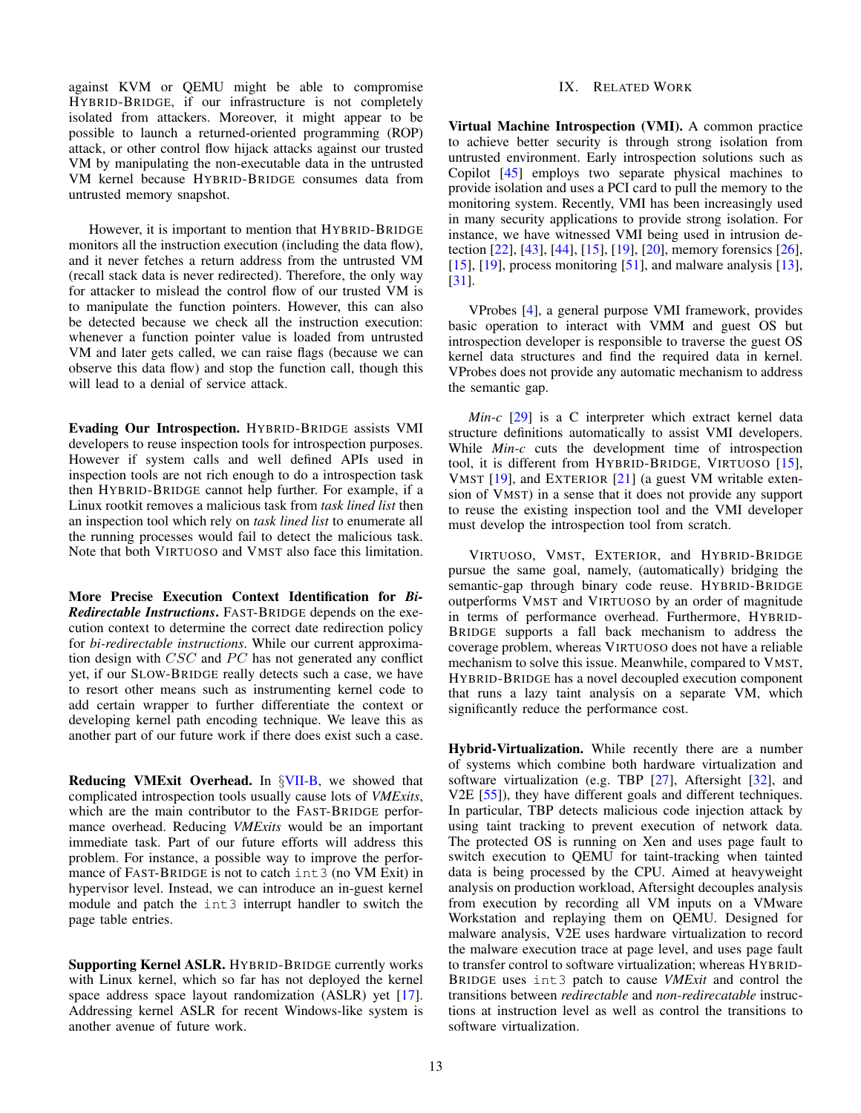against KVM or QEMU might be able to compromise HYBRID-BRIDGE, if our infrastructure is not completely isolated from attackers. Moreover, it might appear to be possible to launch a returned-oriented programming (ROP) attack, or other control flow hijack attacks against our trusted VM by manipulating the non-executable data in the untrusted VM kernel because HYBRID-BRIDGE consumes data from untrusted memory snapshot.

However, it is important to mention that HYBRID-BRIDGE monitors all the instruction execution (including the data flow), and it never fetches a return address from the untrusted VM (recall stack data is never redirected). Therefore, the only way for attacker to mislead the control flow of our trusted VM is to manipulate the function pointers. However, this can also be detected because we check all the instruction execution: whenever a function pointer value is loaded from untrusted VM and later gets called, we can raise flags (because we can observe this data flow) and stop the function call, though this will lead to a denial of service attack.

Evading Our Introspection. HYBRID-BRIDGE assists VMI developers to reuse inspection tools for introspection purposes. However if system calls and well defined APIs used in inspection tools are not rich enough to do a introspection task then HYBRID-BRIDGE cannot help further. For example, if a Linux rootkit removes a malicious task from *task lined list* then an inspection tool which rely on *task lined list* to enumerate all the running processes would fail to detect the malicious task. Note that both VIRTUOSO and VMST also face this limitation.

More Precise Execution Context Identification for *Bi-Redirectable Instructions*. FAST-BRIDGE depends on the execution context to determine the correct date redirection policy for *bi-redirectable instructions*. While our current approximation design with *CSC* and *PC* has not generated any conflict yet, if our SLOW-BRIDGE really detects such a case, we have to resort other means such as instrumenting kernel code to add certain wrapper to further differentiate the context or developing kernel path encoding technique. We leave this as another part of our future work if there does exist such a case.

Reducing VMExit Overhead. In *§*[VII-B,](#page-10-0) we showed that complicated introspection tools usually cause lots of *VMExits*, which are the main contributor to the FAST-BRIDGE performance overhead. Reducing *VMExits* would be an important immediate task. Part of our future efforts will address this problem. For instance, a possible way to improve the performance of FAST-BRIDGE is not to catch int3 (no VM Exit) in hypervisor level. Instead, we can introduce an in-guest kernel module and patch the int3 interrupt handler to switch the page table entries.

Supporting Kernel ASLR. HYBRID-BRIDGE currently works with Linux kernel, which so far has not deployed the kernel space address space layout randomization (ASLR) yet [\[17\]](#page-13-13). Addressing kernel ASLR for recent Windows-like system is another avenue of future work.

#### IX. RELATED WORK

<span id="page-12-0"></span>Virtual Machine Introspection (VMI). A common practice to achieve better security is through strong isolation from untrusted environment. Early introspection solutions such as Copilot [\[45\]](#page-14-8) employs two separate physical machines to provide isolation and uses a PCI card to pull the memory to the monitoring system. Recently, VMI has been increasingly used in many security applications to provide strong isolation. For instance, we have witnessed VMI being used in intrusion detection [\[22\]](#page-14-1), [\[43\]](#page-14-3), [\[44\]](#page-14-4), [\[15\]](#page-13-6), [\[19\]](#page-13-7), [\[20\]](#page-14-7), memory forensics [\[26\]](#page-14-17), [\[15\]](#page-13-6), [\[19\]](#page-13-7), process monitoring [\[51\]](#page-14-18), and malware analysis [\[13\]](#page-13-1), [\[31\]](#page-14-2).

VProbes [\[4\]](#page-13-14), a general purpose VMI framework, provides basic operation to interact with VMM and guest OS but introspection developer is responsible to traverse the guest OS kernel data structures and find the required data in kernel. VProbes does not provide any automatic mechanism to address the semantic gap.

*Min-c* [\[29\]](#page-14-19) is a C interpreter which extract kernel data structure definitions automatically to assist VMI developers. While *Min-c* cuts the development time of introspection tool, it is different from HYBRID-BRIDGE, VIRTUOSO [\[15\]](#page-13-6), VMST [\[19\]](#page-13-7), and EXTERIOR [\[21\]](#page-14-20) (a guest VM writable extension of VMST) in a sense that it does not provide any support to reuse the existing inspection tool and the VMI developer must develop the introspection tool from scratch.

VIRTUOSO, VMST, EXTERIOR, and HYBRID-BRIDGE pursue the same goal, namely, (automatically) bridging the semantic-gap through binary code reuse. HYBRID-BRIDGE outperforms VMST and VIRTUOSO by an order of magnitude in terms of performance overhead. Furthermore, HYBRID-BRIDGE supports a fall back mechanism to address the coverage problem, whereas VIRTUOSO does not have a reliable mechanism to solve this issue. Meanwhile, compared to VMST, HYBRID-BRIDGE has a novel decoupled execution component that runs a lazy taint analysis on a separate VM, which significantly reduce the performance cost.

Hybrid-Virtualization. While recently there are a number of systems which combine both hardware virtualization and software virtualization (e.g. TBP [\[27\]](#page-14-21), Aftersight [\[32\]](#page-14-22), and V2E [\[55\]](#page-14-23)), they have different goals and different techniques. In particular, TBP detects malicious code injection attack by using taint tracking to prevent execution of network data. The protected OS is running on Xen and uses page fault to switch execution to QEMU for taint-tracking when tainted data is being processed by the CPU. Aimed at heavyweight analysis on production workload, Aftersight decouples analysis from execution by recording all VM inputs on a VMware Workstation and replaying them on QEMU. Designed for malware analysis, V2E uses hardware virtualization to record the malware execution trace at page level, and uses page fault to transfer control to software virtualization; whereas HYBRID-BRIDGE uses int3 patch to cause *VMExit* and control the transitions between *redirectable* and *non-redirecatable* instructions at instruction level as well as control the transitions to software virtualization.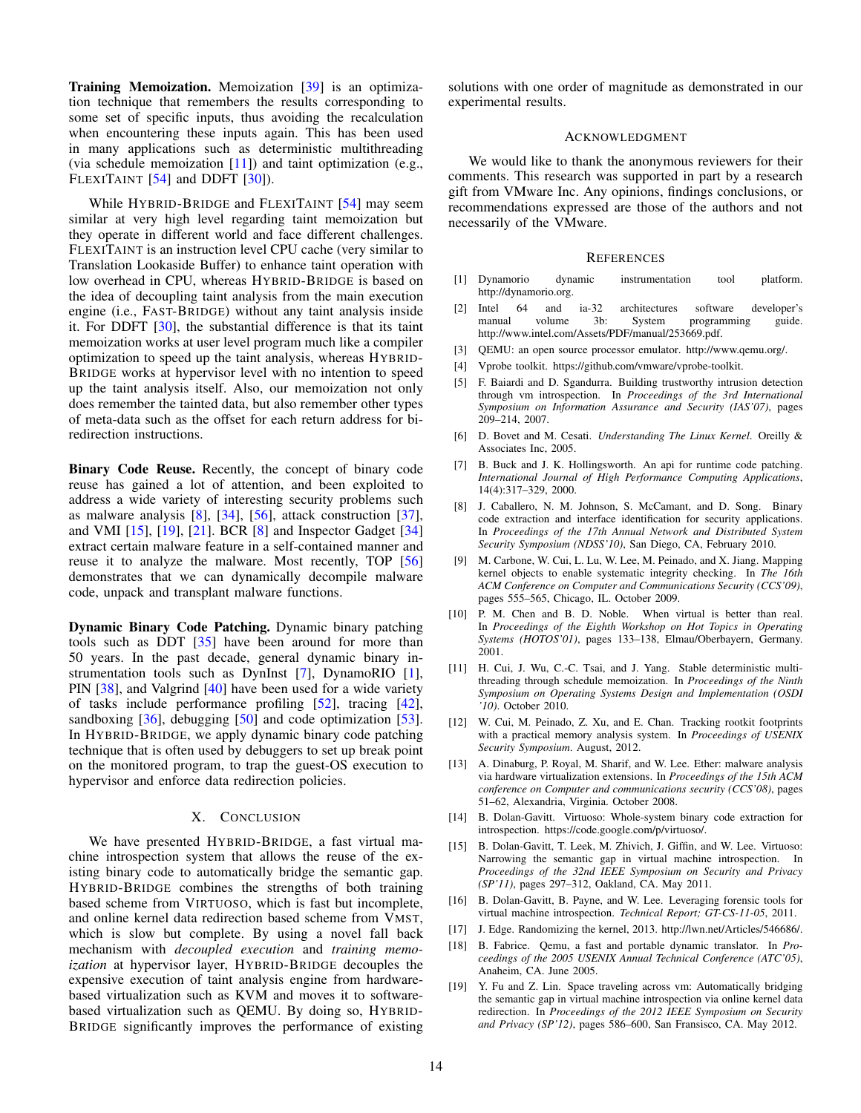**Training Memoization.** Memoization [\[39\]](#page-14-10) is an optimization technique that remembers the results corresponding to some set of specific inputs, thus avoiding the recalculation when encountering these inputs again. This has been used in many applications such as deterministic multithreading (via schedule memoization  $[11]$ ) and taint optimization (e.g., FLEXITAINT [\[54\]](#page-14-24) and DDFT [\[30\]](#page-14-25)).

While HYBRID-BRIDGE and FLEXITAINT [\[54\]](#page-14-24) may seem similar at very high level regarding taint memoization but they operate in different world and face different challenges. FLEXITAINT is an instruction level CPU cache (very similar to Translation Lookaside Buffer) to enhance taint operation with low overhead in CPU, whereas HYBRID-BRIDGE is based on the idea of decoupling taint analysis from the main execution engine (i.e., FAST-BRIDGE) without any taint analysis inside it. For DDFT [\[30\]](#page-14-25), the substantial difference is that its taint memoization works at user level program much like a compiler optimization to speed up the taint analysis, whereas HYBRID-BRIDGE works at hypervisor level with no intention to speed up the taint analysis itself. Also, our memoization not only does remember the tainted data, but also remember other types of meta-data such as the offset for each return address for biredirection instructions.

Binary Code Reuse. Recently, the concept of binary code reuse has gained a lot of attention, and been exploited to address a wide variety of interesting security problems such as malware analysis  $[8]$ ,  $[34]$ ,  $[56]$ , attack construction  $[37]$ , and VMI [\[15\]](#page-13-6), [\[19\]](#page-13-7), [\[21\]](#page-14-20). BCR [\[8\]](#page-13-16) and Inspector Gadget [\[34\]](#page-14-26) extract certain malware feature in a self-contained manner and reuse it to analyze the malware. Most recently, TOP [\[56\]](#page-14-27) demonstrates that we can dynamically decompile malware code, unpack and transplant malware functions.

Dynamic Binary Code Patching. Dynamic binary patching tools such as DDT  $[35]$  have been around for more than 50 years. In the past decade, general dynamic binary instrumentation tools such as DynInst [\[7\]](#page-13-17), DynamoRIO [\[1\]](#page-13-18), PIN [\[38\]](#page-14-30), and Valgrind [\[40\]](#page-14-31) have been used for a wide variety of tasks include performance profiling [\[52\]](#page-14-32), tracing [\[42\]](#page-14-33), sandboxing  $[36]$ , debugging  $[50]$  and code optimization  $[53]$ . In HYBRID-BRIDGE, we apply dynamic binary code patching technique that is often used by debuggers to set up break point on the monitored program, to trap the guest-OS execution to hypervisor and enforce data redirection policies.

#### X. CONCLUSION

<span id="page-13-9"></span>We have presented HYBRID-BRIDGE, a fast virtual machine introspection system that allows the reuse of the existing binary code to automatically bridge the semantic gap. HYBRID-BRIDGE combines the strengths of both training based scheme from VIRTUOSO, which is fast but incomplete, and online kernel data redirection based scheme from VMST, which is slow but complete. By using a novel fall back mechanism with *decoupled execution* and *training memoization* at hypervisor layer, HYBRID-BRIDGE decouples the expensive execution of taint analysis engine from hardwarebased virtualization such as KVM and moves it to softwarebased virtualization such as QEMU. By doing so, HYBRID-BRIDGE significantly improves the performance of existing solutions with one order of magnitude as demonstrated in our experimental results.

#### ACKNOWLEDGMENT

We would like to thank the anonymous reviewers for their comments. This research was supported in part by a research gift from VMware Inc. Any opinions, findings conclusions, or recommendations expressed are those of the authors and not necessarily of the VMware.

#### **REFERENCES**

- <span id="page-13-18"></span>[1] Dynamorio dynamic instrumentation tool platform. http://dynamorio.org.
- [2] Intel 64 and ia-32 architectures software developer's manual volume 3b: System programming guide. http://www.intel.com/Assets/PDF/manual/253669.pdf.
- <span id="page-13-10"></span>[3] QEMU: an open source processor emulator. http://www.qemu.org/.
- <span id="page-13-14"></span>[4] Vprobe toolkit. https://github.com/vmware/vprobe-toolkit.
- <span id="page-13-3"></span>[5] F. Baiardi and D. Sgandurra. Building trustworthy intrusion detection through vm introspection. In *Proceedings of the 3rd International Symposium on Information Assurance and Security (IAS'07)*, pages 209–214, 2007.
- <span id="page-13-12"></span>[6] D. Bovet and M. Cesati. *Understanding The Linux Kernel*. Oreilly & Associates Inc, 2005.
- <span id="page-13-17"></span>[7] B. Buck and J. K. Hollingsworth. An api for runtime code patching. *International Journal of High Performance Computing Applications*, 14(4):317–329, 2000.
- <span id="page-13-16"></span>[8] J. Caballero, N. M. Johnson, S. McCamant, and D. Song. Binary code extraction and interface identification for security applications. In *Proceedings of the 17th Annual Network and Distributed System Security Symposium (NDSS'10)*, San Diego, CA, February 2010.
- <span id="page-13-4"></span>[9] M. Carbone, W. Cui, L. Lu, W. Lee, M. Peinado, and X. Jiang. Mapping kernel objects to enable systematic integrity checking. In *The 16th ACM Conference on Computer and Communications Security (CCS'09)*, pages 555–565, Chicago, IL. October 2009.
- <span id="page-13-0"></span>[10] P. M. Chen and B. D. Noble. When virtual is better than real. In *Proceedings of the Eighth Workshop on Hot Topics in Operating Systems (HOTOS'01)*, pages 133–138, Elmau/Oberbayern, Germany. 2001.
- <span id="page-13-15"></span>[11] H. Cui, J. Wu, C.-C. Tsai, and J. Yang. Stable deterministic multithreading through schedule memoization. In *Proceedings of the Ninth Symposium on Operating Systems Design and Implementation (OSDI '10)*. October 2010.
- <span id="page-13-5"></span>[12] W. Cui, M. Peinado, Z. Xu, and E. Chan. Tracking rootkit footprints with a practical memory analysis system. In *Proceedings of USENIX Security Symposium*. August, 2012.
- <span id="page-13-1"></span>[13] A. Dinaburg, P. Royal, M. Sharif, and W. Lee. Ether: malware analysis via hardware virtualization extensions. In *Proceedings of the 15th ACM conference on Computer and communications security (CCS'08)*, pages 51–62, Alexandria, Virginia. October 2008.
- <span id="page-13-11"></span>[14] B. Dolan-Gavitt. Virtuoso: Whole-system binary code extraction for introspection. https://code.google.com/p/virtuoso/.
- <span id="page-13-6"></span>[15] B. Dolan-Gavitt, T. Leek, M. Zhivich, J. Giffin, and W. Lee. Virtuoso: Narrowing the semantic gap in virtual machine introspection. In *Proceedings of the 32nd IEEE Symposium on Security and Privacy (SP'11)*, pages 297–312, Oakland, CA. May 2011.
- <span id="page-13-2"></span>[16] B. Dolan-Gavitt, B. Payne, and W. Lee. Leveraging forensic tools for virtual machine introspection. *Technical Report; GT-CS-11-05*, 2011.
- <span id="page-13-13"></span>[17] J. Edge. Randomizing the kernel, 2013. http://lwn.net/Articles/546686/.
- <span id="page-13-8"></span>[18] B. Fabrice. Qemu, a fast and portable dynamic translator. In *Proceedings of the 2005 USENIX Annual Technical Conference (ATC'05)*, Anaheim, CA. June 2005.
- <span id="page-13-7"></span>[19] Y. Fu and Z. Lin. Space traveling across vm: Automatically bridging the semantic gap in virtual machine introspection via online kernel data redirection. In *Proceedings of the 2012 IEEE Symposium on Security and Privacy (SP'12)*, pages 586–600, San Fransisco, CA. May 2012.